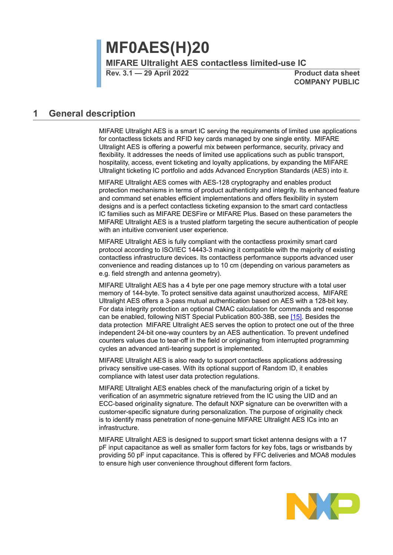**MF0AES(H)20 MIFARE Ultralight AES contactless limited-use IC**

**Rev. 3.1 — 29 April 2022 Product data sheet**

**COMPANY PUBLIC**

## **1 General description**

MIFARE Ultralight AES is a smart IC serving the requirements of limited use applications for contactless tickets and RFID key cards managed by one single entity. MIFARE Ultralight AES is offering a powerful mix between performance, security, privacy and flexibility. It addresses the needs of limited use applications such as public transport, hospitality, access, event ticketing and loyalty applications, by expanding the MIFARE Ultralight ticketing IC portfolio and adds Advanced Encryption Standards (AES) into it.

MIFARE Ultralight AES comes with AES-128 cryptography and enables product protection mechanisms in terms of product authenticity and integrity. Its enhanced feature and command set enables efficient implementations and offers flexibility in system designs and is a perfect contactless ticketing expansion to the smart card contactless IC families such as MIFARE DESFire or MIFARE Plus. Based on these parameters the MIFARE Ultralight AES is a trusted platform targeting the secure authentication of people with an intuitive convenient user experience.

MIFARE Ultralight AES is fully compliant with the contactless proximity smart card protocol according to ISO/IEC 14443-3 making it compatible with the majority of existing contactless infrastructure devices. Its contactless performance supports advanced user convenience and reading distances up to 10 cm (depending on various parameters as e.g. field strength and antenna geometry).

MIFARE Ultralight AES has a 4 byte per one page memory structure with a total user memory of 144-byte. To protect sensitive data against unauthorized access, MIFARE Ultralight AES offers a 3-pass mutual authentication based on AES with a 128-bit key. For data integrity protection an optional CMAC calculation for commands and response can be enabled, following NIST Special Publication 800-38B, see [\[15\]](#page-65-0). Besides the data protection MIFARE Ultralight AES serves the option to protect one out of the three independent 24-bit one-way counters by an AES authentication. To prevent undefined counters values due to tear-off in the field or originating from interrupted programming cycles an advanced anti-tearing support is implemented.

MIFARE Ultralight AES is also ready to support contactless applications addressing privacy sensitive use-cases. With its optional support of Random ID, it enables compliance with latest user data protection regulations.

MIFARE Ultralight AES enables check of the manufacturing origin of a ticket by verification of an asymmetric signature retrieved from the IC using the UID and an ECC-based originality signature. The default NXP signature can be overwritten with a customer-specific signature during personalization. The purpose of originality check is to identify mass penetration of none-genuine MIFARE Ultralight AES ICs into an infrastructure.

MIFARE Ultralight AES is designed to support smart ticket antenna designs with a 17 pF input capacitance as well as smaller form factors for key fobs, tags or wristbands by providing 50 pF input capacitance. This is offered by FFC deliveries and MOA8 modules to ensure high user convenience throughout different form factors.

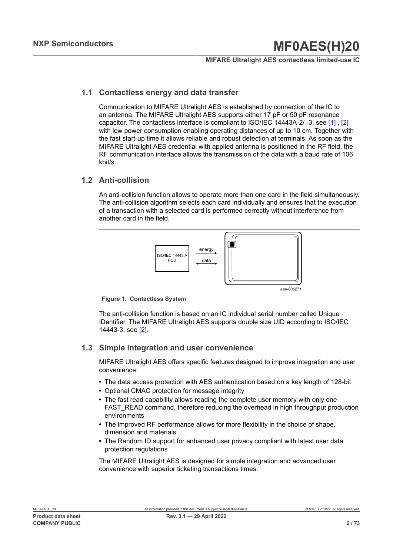#### **MIFARE Ultralight AES contactless limited-use IC**

## **1.1 Contactless energy and data transfer**

Communication to MIFARE Ultralight AES is established by connection of the IC to an antenna. The MIFARE Ultralight AES supports either 17 pF or 50 pF resonance capacitor. The contactless interface is compliant to ISO/IEC 14443A-2/ -3, see [\[1\]](#page-65-1) , [\[2\]](#page-65-2) with low power consumption enabling operating distances of up to 10 cm. Together with the fast start-up time it allows reliable and robust detection at terminals. As soon as the MIFARE Ultralight AES credential with applied antenna is positioned in the RF field, the RF communication interface allows the transmission of the data with a baud rate of 106 kbit/s.

## **1.2 Anti-collision**

An anti-collision function allows to operate more than one card in the field simultaneously. The anti-collision algorithm selects each card individually and ensures that the execution of a transaction with a selected card is performed correctly without interference from another card in the field.



The anti-collision function is based on an IC individual serial number called Unique IDentifier. The MIFARE Ultralight AES supports double size UID according to ISO/IEC 14443-3, see [\[2\]](#page-65-2).

## **1.3 Simple integration and user convenience**

MIFARE Ultralight AES offers specific features designed to improve integration and user convenience:

- **•** The data access protection with AES authentication based on a key length of 128-bit
- **•** Optional CMAC protection for message integrity
- **•** The fast read capability allows reading the complete user memory with only one FAST\_READ command, therefore reducing the overhead in high throughput production environments
- **•** The improved RF performance allows for more flexibility in the choice of shape, dimension and materials
- **•** The Random ID support for enhanced user privacy compliant with latest user data protection regulations

The MIFARE Ultralight AES is designed for simple integration and advanced user convenience with superior ticketing transactions times.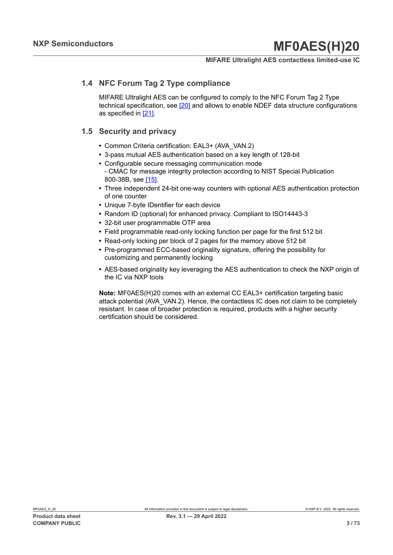## **MIFARE Ultralight AES contactless limited-use IC**

## **1.4 NFC Forum Tag 2 Type compliance**

MIFARE Ultralight AES can be configured to comply to the NFC Forum Tag 2 Type technical specification, see [\[20\]](#page-66-0) and allows to enable NDEF data structure configurations as specified in [\[21\].](#page-66-1)

## **1.5 Security and privacy**

- **•** Common Criteria certification: EAL3+ (AVA\_VAN.2)
- **•** 3-pass mutual AES authentication based on a key length of 128-bit
- **•** Configurable secure messaging communication mode - CMAC for message integrity protection according to NIST Special Publication 800-38B, see [\[15\]](#page-65-0).
- **•** Three independent 24-bit one-way counters with optional AES authentication protection of one counter
- **•** Unique 7-byte IDentifier for each device
- **•** Random ID (optional) for enhanced privacy. Compliant to ISO14443-3
- **•** 32-bit user programmable OTP area
- **•** Field programmable read-only locking function per page for the first 512 bit
- **•** Read-only locking per block of 2 pages for the memory above 512 bit
- **•** Pre-programmed ECC-based originality signature, offering the possibility for customizing and permanently locking
- **•** AES-based originality key leveraging the AES authentication to check the NXP origin of the IC via NXP tools

**Note:** MF0AES(H)20 comes with an external CC EAL3+ certification targeting basic attack potential (AVA\_VAN.2). Hence, the contactless IC does not claim to be completely resistant. In case of broader protection is required, products with a higher security certification should be considered.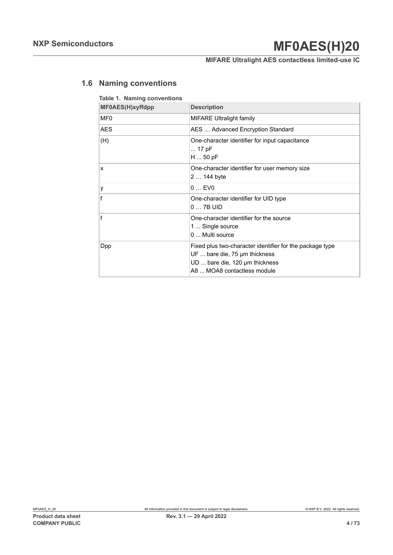## **MIFARE Ultralight AES contactless limited-use IC**

## **1.6 Naming conventions**

| Table 1. Naming conventions<br>MF0AES(H)xyffdpp | <b>Description</b>                                                                                                                                         |
|-------------------------------------------------|------------------------------------------------------------------------------------------------------------------------------------------------------------|
| MF <sub>0</sub>                                 | <b>MIFARE Ultralight family</b>                                                                                                                            |
| <b>AES</b>                                      | AES  Advanced Encryption Standard                                                                                                                          |
| (H)                                             | One-character identifier for input capacitance<br>$\dots$ 17 pF<br>$H$ 50 pF                                                                               |
| X                                               | One-character identifier for user memory size<br>2  144 byte                                                                                               |
| y                                               | 0. FV0                                                                                                                                                     |
| f                                               | One-character identifier for UID type<br>$0 \ldots 7B$ UID                                                                                                 |
| f                                               | One-character identifier for the source<br>1  Single source<br>$0 \ldots$ Multi source                                                                     |
| <b>Dpp</b>                                      | Fixed plus two-character identifier for the package type<br>UF  bare die, 75 µm thickness<br>UD  bare die, 120 µm thickness<br>A8  MOA8 contactless module |

## **Product data sheet Rev. 3.1 — 29 April 2022 COMPANY PUBLIC 4 / 73**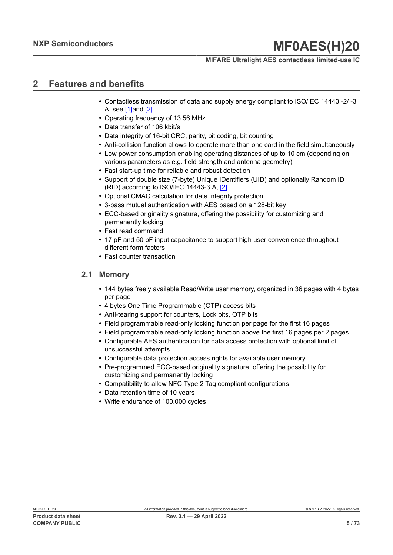## **MIFARE Ultralight AES contactless limited-use IC**

## **2 Features and benefits**

- **•** Contactless transmission of data and supply energy compliant to ISO/IEC 14443 -2/ -3 A, see  $[1]$ and  $[2]$
- **•** Operating frequency of 13.56 MHz
- **•** Data transfer of 106 kbit/s
- **•** Data integrity of 16-bit CRC, parity, bit coding, bit counting
- **•** Anti-collision function allows to operate more than one card in the field simultaneously
- **•** Low power consumption enabling operating distances of up to 10 cm (depending on various parameters as e.g. field strength and antenna geometry)
- **•** Fast start-up time for reliable and robust detection
- **•** Support of double size (7-byte) Unique IDentifiers (UID) and optionally Random ID (RID) according to ISO/IEC 14443-3 A, [\[2\]](#page-65-2)
- **•** Optional CMAC calculation for data integrity protection
- **•** 3-pass mutual authentication with AES based on a 128-bit key
- **•** ECC-based originality signature, offering the possibility for customizing and permanently locking
- **•** Fast read command
- **•** 17 pF and 50 pF input capacitance to support high user convenience throughout different form factors
- **•** Fast counter transaction

## **2.1 Memory**

- **•** 144 bytes freely available Read/Write user memory, organized in 36 pages with 4 bytes per page
- **•** 4 bytes One Time Programmable (OTP) access bits
- **•** Anti-tearing support for counters, Lock bits, OTP bits
- **•** Field programmable read-only locking function per page for the first 16 pages
- **•** Field programmable read-only locking function above the first 16 pages per 2 pages
- **•** Configurable AES authentication for data access protection with optional limit of unsuccessful attempts
- **•** Configurable data protection access rights for available user memory
- **•** Pre-programmed ECC-based originality signature, offering the possibility for customizing and permanently locking
- **•** Compatibility to allow NFC Type 2 Tag compliant configurations
- **•** Data retention time of 10 years
- **•** Write endurance of 100.000 cycles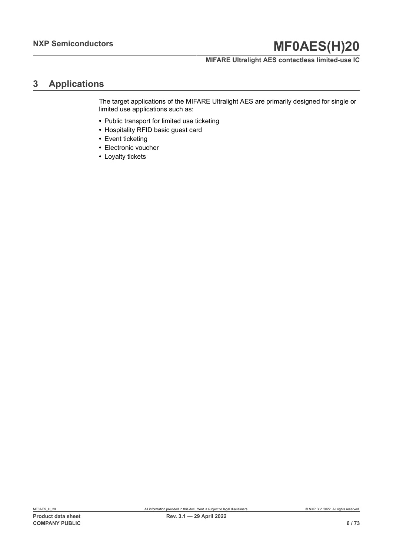## **MIFARE Ultralight AES contactless limited-use IC**

## **3 Applications**

The target applications of the MIFARE Ultralight AES are primarily designed for single or limited use applications such as:

- **•** Public transport for limited use ticketing
- **•** Hospitality RFID basic guest card
- **•** Event ticketing
- **•** Electronic voucher
- **•** Loyalty tickets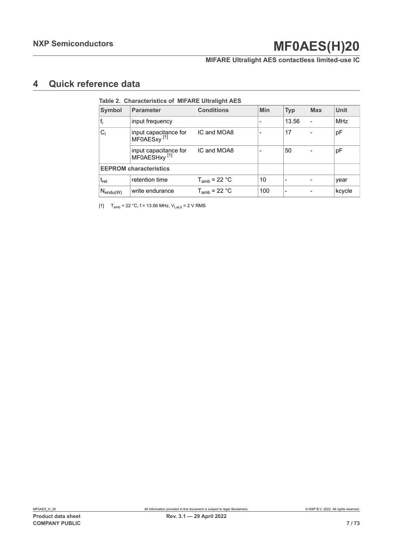## **MIFARE Ultralight AES contactless limited-use IC**

## **4 Quick reference data**

<span id="page-6-0"></span>

|                             | Table 2. Characteristics of MIFARE Ultralight AES |                   |                          |            |            |            |
|-----------------------------|---------------------------------------------------|-------------------|--------------------------|------------|------------|------------|
| Symbol                      | <b>Parameter</b>                                  | <b>Conditions</b> | Min                      | <b>Typ</b> | <b>Max</b> | Unit       |
| $f_i$                       | input frequency                                   |                   | $\overline{\phantom{a}}$ | 13.56      |            | <b>MHz</b> |
| $C_i$                       | input capacitance for<br>MF0AESxy <sup>[1]</sup>  | IC and MOA8       | $\overline{\phantom{0}}$ | 17         |            | pF         |
|                             | input capacitance for<br>MF0AESHxy <sup>[1]</sup> | IC and MOA8       |                          | 50         |            | рF         |
|                             | <b>EEPROM</b> characteristics                     |                   |                          |            |            |            |
| $\mathsf{t}_{\mathsf{ret}}$ | retention time                                    | $T_{amb}$ = 22 °C | 10                       |            |            | year       |
| $N_{\mathsf{endu}(W)}$      | write endurance                                   | $T_{amb}$ = 22 °C | 100                      |            |            | kcycle     |

[1]  $T_{amb} = 22 °C$ , f = 13.56 MHz,  $V_{Lab} = 2 V$  RMS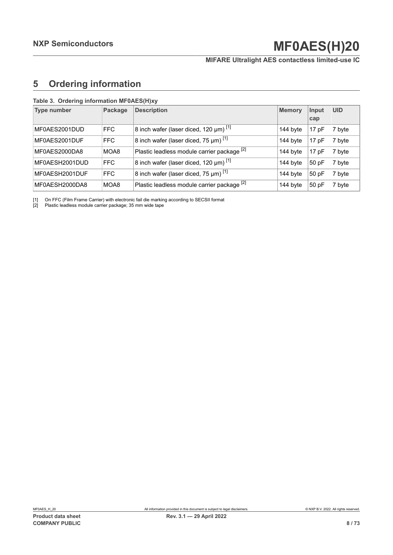## **MIFARE Ultralight AES contactless limited-use IC**

## <span id="page-7-1"></span><span id="page-7-0"></span>**5 Ordering information**

| <b>Type number</b> | Package | <b>Description</b>                              | <b>Memory</b> | Input<br>cap | <b>UID</b> |
|--------------------|---------|-------------------------------------------------|---------------|--------------|------------|
| MF0AES2001DUD      | FFC     | 8 inch wafer (laser diced, 120 µm) [1]          | 144 byte      | 17pF         | 7 byte     |
| MF0AES2001DUF      | FFC     | $ 8$ inch wafer (laser diced, 75 µm) $^{[1]}$   | 144 byte      | 17pF         | 7 byte     |
| MF0AES2000DA8      | MOA8    | Plastic leadless module carrier package [2]     | 144 byte      | 17pF         | 7 byte     |
| MF0AESH2001DUD     | FFC     | 8 inch wafer (laser diced, 120 $\mu$ m) [1]     | 144 byte      | 50 pF        | 7 byte     |
| MF0AESH2001DUF     | FFC     | 8 inch wafer (laser diced, 75 $\mu$ m) $^{[1]}$ | 144 byte      | 50pF         | 7 byte     |
| MF0AESH2000DA8     | MOA8    | Plastic leadless module carrier package [2]     | 144 byte      | 50 pF        | 7 byte     |

#### **Table 3. Ordering information MF0AES(H)xy**

[1] On FFC (Film Frame Carrier) with electronic fail die marking according to SECSII format

[2] Plastic leadless module carrier package; 35 mm wide tape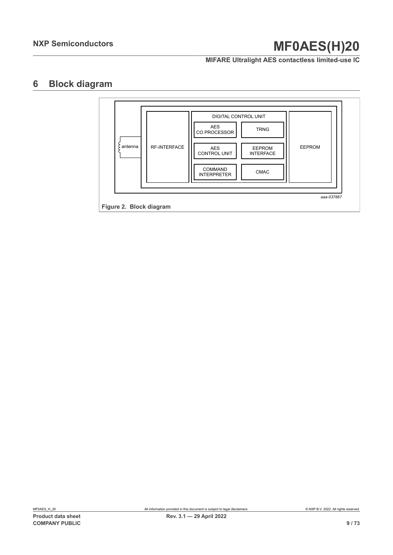**MIFARE Ultralight AES contactless limited-use IC**

## **6 Block diagram**

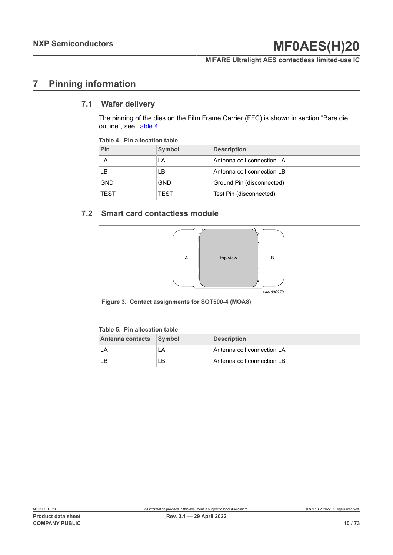**MIFARE Ultralight AES contactless limited-use IC**

## **7 Pinning information**

## **7.1 Wafer delivery**

The pinning of the dies on the Film Frame Carrier (FFC) is shown in section "Bare die outline", see [Table](#page-9-0) 4.

#### <span id="page-9-0"></span>**Table 4. Pin allocation table**

| Pin         | Symbol      | <b>Description</b>         |
|-------------|-------------|----------------------------|
| LA          | LA          | Antenna coil connection LA |
| LВ          | LВ          | Antenna coil connection LB |
| <b>GND</b>  | <b>GND</b>  | Ground Pin (disconnected)  |
| <b>TEST</b> | <b>TEST</b> | Test Pin (disconnected)    |

## **7.2 Smart card contactless module**



#### **Table 5. Pin allocation table**

| Antenna contacts Symbol |    | <b>Description</b>         |
|-------------------------|----|----------------------------|
|                         | LA | Antenna coil connection LA |
|                         | B  | Antenna coil connection LB |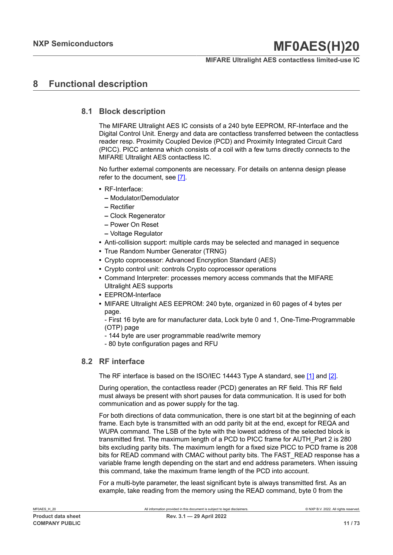## **MIFARE Ultralight AES contactless limited-use IC**

## **8 Functional description**

## **8.1 Block description**

The MIFARE Ultralight AES IC consists of a 240 byte EEPROM, RF-Interface and the Digital Control Unit. Energy and data are contactless transferred between the contactless reader resp. Proximity Coupled Device (PCD) and Proximity Integrated Circuit Card (PICC). PICC antenna which consists of a coil with a few turns directly connects to the MIFARE Ultralight AES contactless IC.

No further external components are necessary. For details on antenna design please refer to the document, see [\[7\].](#page-65-3)

- **•** RF-Interface:
	- **–** Modulator/Demodulator
	- **–** Rectifier
	- **–** Clock Regenerator
	- **–** Power On Reset
	- **–** Voltage Regulator
- **•** Anti-collision support: multiple cards may be selected and managed in sequence
- **•** True Random Number Generator (TRNG)
- **•** Crypto coprocessor: Advanced Encryption Standard (AES)
- **•** Crypto control unit: controls Crypto coprocessor operations
- **•** Command Interpreter: processes memory access commands that the MIFARE Ultralight AES supports
- **•** EEPROM-Interface
- **•** MIFARE Ultralight AES EEPROM: 240 byte, organized in 60 pages of 4 bytes per page.

- First 16 byte are for manufacturer data, Lock byte 0 and 1, One-Time-Programmable (OTP) page

- 144 byte are user programmable read/write memory
- 80 byte configuration pages and RFU

## **8.2 RF interface**

The RF interface is based on the ISO/IEC 14443 Type A standard, see [\[1\]](#page-65-1) and [\[2\]](#page-65-2).

During operation, the contactless reader (PCD) generates an RF field. This RF field must always be present with short pauses for data communication. It is used for both communication and as power supply for the tag.

For both directions of data communication, there is one start bit at the beginning of each frame. Each byte is transmitted with an odd parity bit at the end, except for REQA and WUPA command. The LSB of the byte with the lowest address of the selected block is transmitted first. The maximum length of a PCD to PICC frame for AUTH\_Part 2 is 280 bits excluding parity bits. The maximum length for a fixed size PICC to PCD frame is 208 bits for READ command with CMAC without parity bits. The FAST\_READ response has a variable frame length depending on the start and end address parameters. When issuing this command, take the maximum frame length of the PCD into account.

For a multi-byte parameter, the least significant byte is always transmitted first. As an example, take reading from the memory using the READ command, byte 0 from the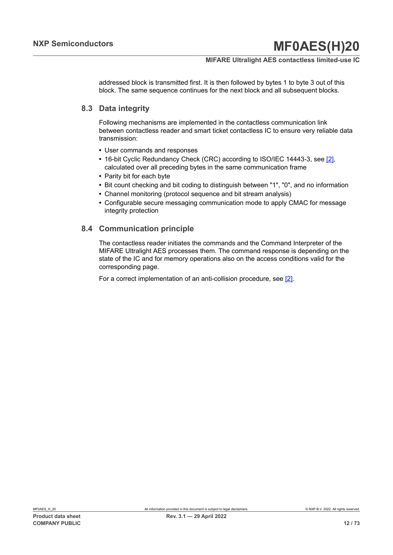## **MIFARE Ultralight AES contactless limited-use IC**

addressed block is transmitted first. It is then followed by bytes 1 to byte 3 out of this block. The same sequence continues for the next block and all subsequent blocks.

## **8.3 Data integrity**

Following mechanisms are implemented in the contactless communication link between contactless reader and smart ticket contactless IC to ensure very reliable data transmission:

- **•** User commands and responses
- **•** 16-bit Cyclic Redundancy Check (CRC) according to ISO/IEC 14443-3, see [\[2\],](#page-65-2) calculated over all preceding bytes in the same communication frame
- **•** Parity bit for each byte
- **•** Bit count checking and bit coding to distinguish between "1", "0", and no information
- **•** Channel monitoring (protocol sequence and bit stream analysis)
- **•** Configurable secure messaging communication mode to apply CMAC for message integrity protection

## **8.4 Communication principle**

The contactless reader initiates the commands and the Command Interpreter of the MIFARE Ultralight AES processes them. The command response is depending on the state of the IC and for memory operations also on the access conditions valid for the corresponding page.

For a correct implementation of an anti-collision procedure, see [\[2\]](#page-65-2).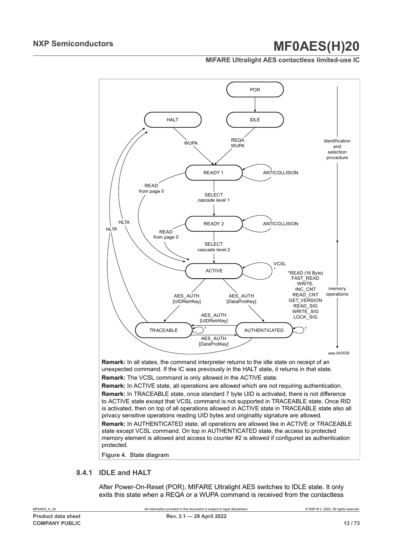### **MIFARE Ultralight AES contactless limited-use IC**



unexpected command. If the IC was previously in the HALT state, it returns in that state. **Remark:** The VCSL command is only allowed in the ACTIVE state.

**Remark:** In ACTIVE state, all operations are allowed which are not requiring authentication. **Remark:** In TRACEABLE state, once standard 7 byte UID is activated, there is not difference to ACTIVE state except that VCSL command is not supported in TRACEABLE state. Once RID is activated, then on top of all operations allowed in ACTIVE state in TRACEABLE state also all privacy sensitive operations reading UID bytes and originality signature are allowed. **Remark:** In AUTHENTICATED state, all operations are allowed like in ACTIVE or TRACEABLE state except VCSL command. On top in AUTHENTICATED state, the access to protected memory element is allowed and access to counter #2 is allowed if configured as authentication protected.

**Figure 4. State diagram**

## **8.4.1 IDLE and HALT**

After Power-On-Reset (POR), MIFARE Ultralight AES switches to IDLE state. It only exits this state when a REQA or a WUPA command is received from the contactless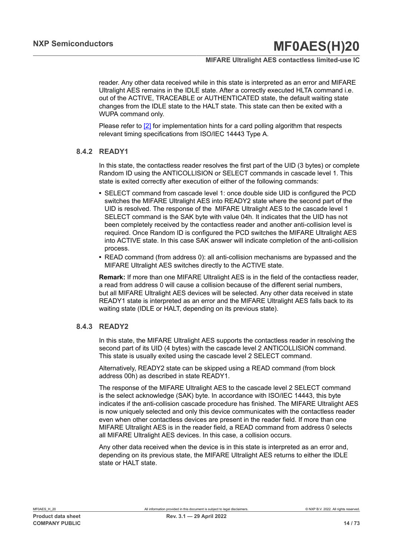## **MIFARE Ultralight AES contactless limited-use IC**

reader. Any other data received while in this state is interpreted as an error and MIFARE Ultralight AES remains in the IDLE state. After a correctly executed HLTA command i.e. out of the ACTIVE, TRACEABLE or AUTHENTICATED state, the default waiting state changes from the IDLE state to the HALT state. This state can then be exited with a WUPA command only.

Please refer to  $[2]$  for implementation hints for a card polling algorithm that respects relevant timing specifications from ISO/IEC 14443 Type A.

### **8.4.2 READY1**

In this state, the contactless reader resolves the first part of the UID (3 bytes) or complete Random ID using the ANTICOLLISION or SELECT commands in cascade level 1. This state is exited correctly after execution of either of the following commands:

- **•** SELECT command from cascade level 1: once double side UID is configured the PCD switches the MIFARE Ultralight AES into READY2 state where the second part of the UID is resolved. The response of the MIFARE Ultralight AES to the cascade level 1 SELECT command is the SAK byte with value 04h. It indicates that the UID has not been completely received by the contactless reader and another anti-collision level is required. Once Random ID is configured the PCD switches the MIFARE Ultralight AES into ACTIVE state. In this case SAK answer will indicate completion of the anti-collision process.
- **•** READ command (from address 0): all anti-collision mechanisms are bypassed and the MIFARE Ultralight AES switches directly to the ACTIVE state.

**Remark:** If more than one MIFARE Ultralight AES is in the field of the contactless reader, a read from address 0 will cause a collision because of the different serial numbers, but all MIFARE Ultralight AES devices will be selected. Any other data received in state READY1 state is interpreted as an error and the MIFARE Ultralight AES falls back to its waiting state (IDLE or HALT, depending on its previous state).

#### **8.4.3 READY2**

In this state, the MIFARE Ultralight AES supports the contactless reader in resolving the second part of its UID (4 bytes) with the cascade level 2 ANTICOLLISION command. This state is usually exited using the cascade level 2 SELECT command.

Alternatively, READY2 state can be skipped using a READ command (from block address 00h) as described in state READY1.

The response of the MIFARE Ultralight AES to the cascade level 2 SELECT command is the select acknowledge (SAK) byte. In accordance with ISO/IEC 14443, this byte indicates if the anti-collision cascade procedure has finished. The MIFARE Ultralight AES is now uniquely selected and only this device communicates with the contactless reader even when other contactless devices are present in the reader field. If more than one MIFARE Ultralight AES is in the reader field, a READ command from address 0 selects all MIFARE Ultralight AES devices. In this case, a collision occurs.

Any other data received when the device is in this state is interpreted as an error and, depending on its previous state, the MIFARE Ultralight AES returns to either the IDLE state or HALT state.

MF0AES\_H\_20 All information provided in this document is subject to legal disclaimers. © NXP B.V. 2022. All rights reserved.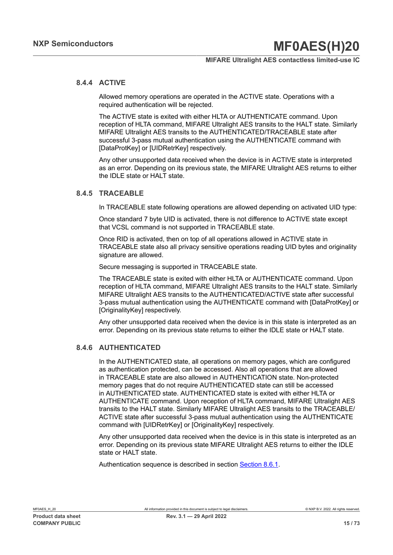### **MIFARE Ultralight AES contactless limited-use IC**

## **8.4.4 ACTIVE**

Allowed memory operations are operated in the ACTIVE state. Operations with a required authentication will be rejected.

The ACTIVE state is exited with either HLTA or AUTHENTICATE command. Upon reception of HLTA command, MIFARE Ultralight AES transits to the HALT state. Similarly MIFARE Ultralight AES transits to the AUTHENTICATED/TRACEABLE state after successful 3-pass mutual authentication using the AUTHENTICATE command with [DataProtKey] or [UIDRetrKey] respectively.

Any other unsupported data received when the device is in ACTIVE state is interpreted as an error. Depending on its previous state, the MIFARE Ultralight AES returns to either the IDLE state or HALT state.

### **8.4.5 TRACEABLE**

In TRACEABLE state following operations are allowed depending on activated UID type:

Once standard 7 byte UID is activated, there is not difference to ACTIVE state except that VCSL command is not supported in TRACEABLE state.

Once RID is activated, then on top of all operations allowed in ACTIVE state in TRACEABLE state also all privacy sensitive operations reading UID bytes and originality signature are allowed.

Secure messaging is supported in TRACEABLE state.

The TRACEABLE state is exited with either HLTA or AUTHENTICATE command. Upon reception of HLTA command, MIFARE Ultralight AES transits to the HALT state. Similarly MIFARE Ultralight AES transits to the AUTHENTICATED/ACTIVE state after successful 3-pass mutual authentication using the AUTHENTICATE command with [DataProtKey] or [OriginalityKey] respectively.

Any other unsupported data received when the device is in this state is interpreted as an error. Depending on its previous state returns to either the IDLE state or HALT state.

## **8.4.6 AUTHENTICATED**

In the AUTHENTICATED state, all operations on memory pages, which are configured as authentication protected, can be accessed. Also all operations that are allowed in TRACEABLE state are also allowed in AUTHENTICATION state. Non-protected memory pages that do not require AUTHENTICATED state can still be accessed in AUTHENTICATED state. AUTHENTICATED state is exited with either HLTA or AUTHENTICATE command. Upon reception of HLTA command, MIFARE Ultralight AES transits to the HALT state. Similarly MIFARE Ultralight AES transits to the TRACEABLE/ ACTIVE state after successful 3-pass mutual authentication using the AUTHENTICATE command with [UIDRetrKey] or [OriginalityKey] respectively.

Any other unsupported data received when the device is in this state is interpreted as an error. Depending on its previous state MIFARE Ultralight AES returns to either the IDLE state or HALT state.

Authentication sequence is described in section [Section 8.6.1.](#page-24-0)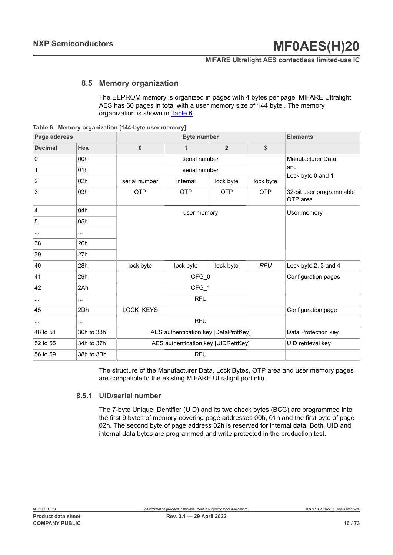### **MIFARE Ultralight AES contactless limited-use IC**

## **8.5 Memory organization**

<span id="page-15-1"></span><span id="page-15-0"></span>The EEPROM memory is organized in pages with 4 bytes per page. MIFARE Ultralight AES has 60 pages in total with a user memory size of 144 byte . The memory organization is shown in [Table](#page-15-0) 6 .

**Table 6. Memory organization [144-byte user memory]**

| Page address   |            |               | <b>Elements</b>                      |                |                     |                                      |
|----------------|------------|---------------|--------------------------------------|----------------|---------------------|--------------------------------------|
| <b>Decimal</b> | <b>Hex</b> | $\bf{0}$      | 1                                    | $\overline{2}$ | 3                   |                                      |
| $\pmb{0}$      | 00h        |               | serial number                        |                |                     | Manufacturer Data                    |
| $\mathbf 1$    | 01h        |               | serial number                        |                |                     | and                                  |
| $\overline{2}$ | 02h        | serial number | internal                             | lock byte      | lock byte           | Lock byte 0 and 1                    |
| 3              | 03h        | <b>OTP</b>    | <b>OTP</b>                           | <b>OTP</b>     | <b>OTP</b>          | 32-bit user programmable<br>OTP area |
| 4              | 04h        |               | user memory                          |                |                     | User memory                          |
| 5              | 05h        |               |                                      |                |                     |                                      |
| $\cdots$       | $\cdots$   |               |                                      |                |                     |                                      |
| 38             | 26h        |               |                                      |                |                     |                                      |
| 39             | 27h        |               |                                      |                |                     |                                      |
| 40             | 28h        | lock byte     | lock byte                            | lock byte      | <b>RFU</b>          | Lock byte 2, 3 and 4                 |
| 41             | 29h        |               | CFG_0                                |                |                     | Configuration pages                  |
| 42             | 2Ah        |               | CFG_1                                |                |                     |                                      |
| $\cdots$       | $\cdots$   |               | <b>RFU</b>                           |                |                     |                                      |
| 45             | 2Dh        | LOCK_KEYS     |                                      |                |                     | Configuration page                   |
| $\cdots$       | $\cdots$   |               | <b>RFU</b>                           |                |                     |                                      |
| 48 to 51       | 30h to 33h |               | AES authentication key [DataProtKey] |                | Data Protection key |                                      |
| 52 to 55       | 34h to 37h |               | AES authentication key [UIDRetrKey]  |                |                     | UID retrieval key                    |
| 56 to 59       | 38h to 3Bh |               | <b>RFU</b>                           |                |                     |                                      |

The structure of the Manufacturer Data, Lock Bytes, OTP area and user memory pages are compatible to the existing MIFARE Ultralight portfolio.

### **8.5.1 UID/serial number**

The 7-byte Unique IDentifier (UID) and its two check bytes (BCC) are programmed into the first 9 bytes of memory-covering page addresses 00h, 01h and the first byte of page 02h. The second byte of page address 02h is reserved for internal data. Both, UID and internal data bytes are programmed and write protected in the production test.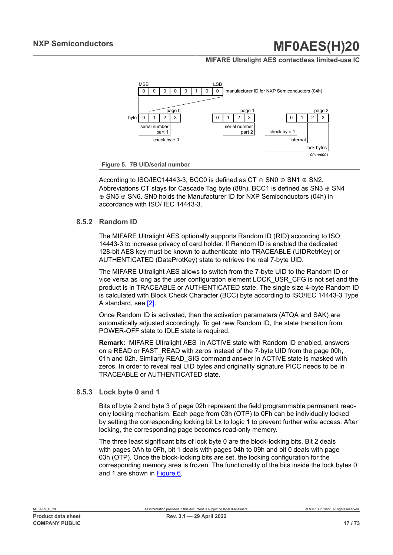### **MIFARE Ultralight AES contactless limited-use IC**



According to ISO/IEC14443-3, BCC0 is defined as CT  $\oplus$  SN0  $\oplus$  SN1  $\oplus$  SN2. Abbreviations CT stays for Cascade Tag byte (88h). BCC1 is defined as SN3  $\oplus$  SN4 ⊕ SN5 ⊕ SN6. SN0 holds the Manufacturer ID for NXP Semiconductors (04h) in accordance with ISO/ IEC 14443-3.

### **8.5.2 Random ID**

The MIFARE Ultralight AES optionally supports Random ID (RID) according to ISO 14443-3 to increase privacy of card holder. If Random ID is enabled the dedicated 128-bit AES key must be known to authenticate into TRACEABLE (UIDRetrKey) or AUTHENTICATED (DataProtKey) state to retrieve the real 7-byte UID.

The MIFARE Ultralight AES allows to switch from the 7-byte UID to the Random ID or vice versa as long as the user configuration element LOCK\_USR\_CFG is not set and the product is in TRACEABLE or AUTHENTICATED state. The single size 4-byte Random ID is calculated with Block Check Character (BCC) byte according to ISO/IEC 14443-3 Type A standard, see [\[2\].](#page-65-2)

Once Random ID is activated, then the activation parameters (ATQA and SAK) are automatically adjusted accordingly. To get new Random ID, the state transition from POWER-OFF state to IDLE state is required.

**Remark:** MIFARE Ultralight AES in ACTIVE state with Random ID enabled, answers on a READ or FAST\_READ with zeros instead of the 7-byte UID from the page 00h, 01h and 02h. Similarly READ\_SIG command answer in ACTIVE state is masked with zeros. In order to reveal real UID bytes and originality signature PICC needs to be in TRACEABLE or AUTHENTICATED state.

#### **8.5.3 Lock byte 0 and 1**

Bits of byte 2 and byte 3 of page 02h represent the field programmable permanent readonly locking mechanism. Each page from 03h (OTP) to 0Fh can be individually locked by setting the corresponding locking bit Lx to logic 1 to prevent further write access. After locking, the corresponding page becomes read-only memory.

The three least significant bits of lock byte 0 are the block-locking bits. Bit 2 deals with pages 0Ah to 0Fh, bit 1 deals with pages 04h to 09h and bit 0 deals with page 03h (OTP). Once the block-locking bits are set, the locking configuration for the corresponding memory area is frozen. The functionality of the bits inside the lock bytes 0 and 1 are shown in [Figure 6.](#page-17-0)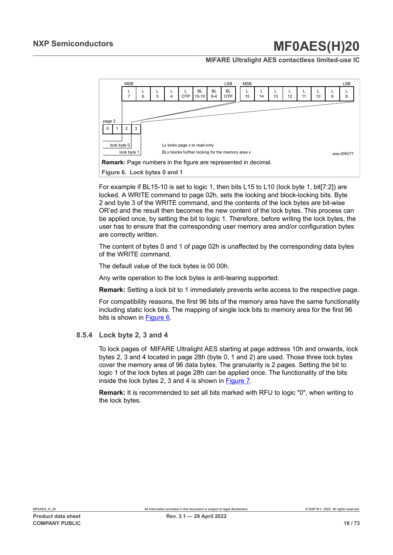### **MIFARE Ultralight AES contactless limited-use IC**

<span id="page-17-0"></span>

For example if BL15-10 is set to logic 1, then bits L15 to L10 (lock byte 1, bit[7:2]) are locked. A WRITE command to page 02h, sets the locking and block-locking bits. Byte 2 and byte 3 of the WRITE command, and the contents of the lock bytes are bit-wise OR'ed and the result then becomes the new content of the lock bytes. This process can be applied once, by setting the bit to logic 1. Therefore, before writing the lock bytes, the user has to ensure that the corresponding user memory area and/or configuration bytes are correctly written.

The content of bytes 0 and 1 of page 02h is unaffected by the corresponding data bytes of the WRITE command.

The default value of the lock bytes is 00 00h.

Any write operation to the lock bytes is anti-tearing supported.

**Remark:** Setting a lock bit to 1 immediately prevents write access to the respective page.

For compatibility reasons, the first 96 bits of the memory area have the same functionality including static lock bits. The mapping of single lock bits to memory area for the first 96 bits is shown in [Figure 6](#page-17-0).

#### **8.5.4 Lock byte 2, 3 and 4**

To lock pages of MIFARE Ultralight AES starting at page address 10h and onwards, lock bytes 2, 3 and 4 located in page 28h (byte 0, 1 and 2) are used. Those three lock bytes cover the memory area of 96 data bytes. The granularity is 2 pages. Setting the bit to logic 1 of the lock bytes at page 28h can be applied once. The functionality of the bits inside the lock bytes 2, 3 and 4 is shown in [Figure 7.](#page-18-0)

**Remark:** It is recommended to set all bits marked with RFU to logic "0", when writing to the lock bytes.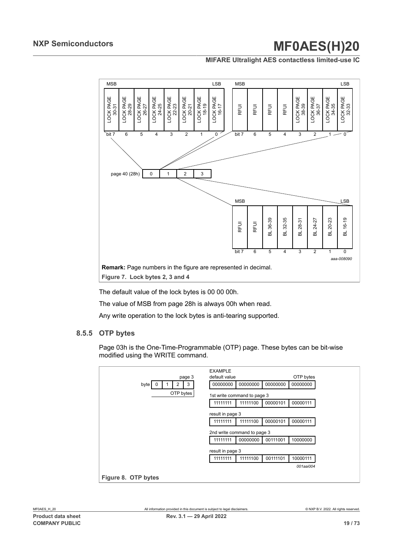### **MIFARE Ultralight AES contactless limited-use IC**

<span id="page-18-0"></span>

The default value of the lock bytes is 00 00 00h.

The value of MSB from page 28h is always 00h when read.

Any write operation to the lock bytes is anti-tearing supported.

#### **8.5.5 OTP bytes**

Page 03h is the One-Time-Programmable (OTP) page. These bytes can be bit-wise modified using the WRITE command.

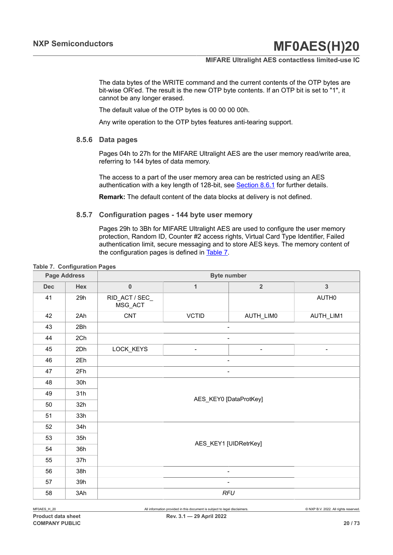### **MIFARE Ultralight AES contactless limited-use IC**

The data bytes of the WRITE command and the current contents of the OTP bytes are bit-wise OR'ed. The result is the new OTP byte contents. If an OTP bit is set to "1", it cannot be any longer erased.

The default value of the OTP bytes is 00 00 00 00h.

Any write operation to the OTP bytes features anti-tearing support.

## **8.5.6 Data pages**

Pages 04h to 27h for the MIFARE Ultralight AES are the user memory read/write area, referring to 144 bytes of data memory.

The access to a part of the user memory area can be restricted using an AES authentication with a key length of 128-bit, see [Section 8.6.1](#page-24-0) for further details.

<span id="page-19-1"></span>**Remark:** The default content of the data blocks at delivery is not defined.

#### **8.5.7 Configuration pages - 144 byte user memory**

<span id="page-19-0"></span>Pages 29h to 3Bh for MIFARE Ultralight AES are used to configure the user memory protection, Random ID, Counter #2 access rights, Virtual Card Type Identifier, Failed authentication limit, secure messaging and to store AES keys. The memory content of the configuration pages is defined in [Table](#page-19-0) 7.

**Page Address Byte number Dec Hex 0 1 2 3** 41 29h RID ACT / SEC MSG\_ACT AUTH0 42 2Ah CNT VCTID AUTH\_LIM0 AUTH\_LIM1 43 2Bh - 44 2Ch - 2000 - 2000 - 2000 - 2000 - 2000 - 2000 - 2000 - 2010 - 2010 - 2010 - 2010 - 2010 - 2010 - 2010 - 20 45 2Dh LOCK\_KEYS - - | -46 2Eh - 2000 - 2000 - 2000 - 2000 - 2000 - 2000 - 2000 - 2000 - 2000 - 2000 - 2000 - 2000 - 2000 - 2000 - 20 47 2Fh - 2000 - 2000 - 2000 - 2000 - 2000 - 2000 - 2000 - 2000 - 2000 - 2000 - 2000 - 2000 - 2000 - 2000 - 20 48 30h 49 31h 50 32h 51 33h AES\_KEY0 [DataProtKey] 52 34h  $53$  35h 54 36h 55 37h AES\_KEY1 [UIDRetrKey] 56 38h - 57 39h - 58 3Ah *RFU*

**Table 7. Configuration Pages**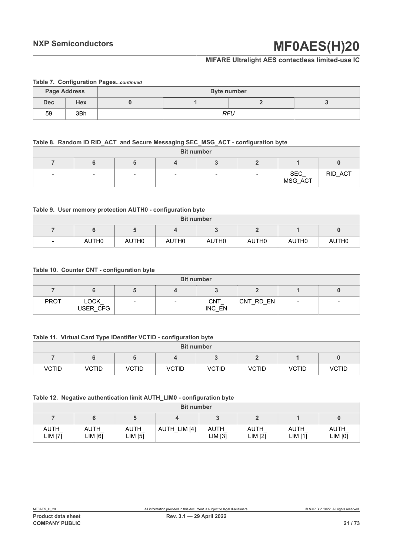## **MIFARE Ultralight AES contactless limited-use IC**

|                                           | Table 7. Computation Pages continued |  |  |     |  |  |  |  |  |  |  |
|-------------------------------------------|--------------------------------------|--|--|-----|--|--|--|--|--|--|--|
| <b>Page Address</b><br><b>Byte number</b> |                                      |  |  |     |  |  |  |  |  |  |  |
| <b>Dec</b>                                | <b>Hex</b>                           |  |  |     |  |  |  |  |  |  |  |
| 59                                        | 3Bh                                  |  |  | RFU |  |  |  |  |  |  |  |

### **Table 7. Configuration Pages***...continued*

### **Table 8. Random ID RID\_ACT and Secure Messaging SEC\_MSG\_ACT - configuration byte**

|                          | <b>Bit number</b> |                          |                          |        |  |                 |         |  |  |  |  |  |
|--------------------------|-------------------|--------------------------|--------------------------|--------|--|-----------------|---------|--|--|--|--|--|
|                          |                   |                          |                          |        |  |                 |         |  |  |  |  |  |
| $\overline{\phantom{0}}$ |                   | $\overline{\phantom{0}}$ | $\overline{\phantom{0}}$ | $\sim$ |  | SEC_<br>MSG_ACT | RID_ACT |  |  |  |  |  |

#### **Table 9. User memory protection AUTH0 - configuration byte**

|                | <b>Bit number</b> |                   |                   |                   |                   |                   |                   |  |  |  |  |  |
|----------------|-------------------|-------------------|-------------------|-------------------|-------------------|-------------------|-------------------|--|--|--|--|--|
|                |                   |                   |                   |                   |                   |                   |                   |  |  |  |  |  |
| $\blacksquare$ | AUTH0             | AUTH <sub>0</sub> | AUTH <sub>0</sub> | AUTH <sub>0</sub> | AUTH <sub>0</sub> | AUTH <sub>0</sub> | AUTH <sub>0</sub> |  |  |  |  |  |

#### **Table 10. Counter CNT - configuration byte**

| <b>Bit number</b> |                         |                          |                          |                      |           |                          |  |  |  |  |  |
|-------------------|-------------------------|--------------------------|--------------------------|----------------------|-----------|--------------------------|--|--|--|--|--|
|                   |                         |                          |                          |                      |           |                          |  |  |  |  |  |
| <b>PROT</b>       | <b>LOCK</b><br>USER CFG | $\overline{\phantom{0}}$ | $\overline{\phantom{a}}$ | <b>CNT</b><br>INC EN | CNT RD EN | $\overline{\phantom{a}}$ |  |  |  |  |  |

#### **Table 11. Virtual Card Type IDentifier VCTID - configuration byte**

|       | <b>Bit number</b> |       |       |       |       |       |       |  |  |  |  |  |
|-------|-------------------|-------|-------|-------|-------|-------|-------|--|--|--|--|--|
|       |                   |       |       |       |       |       |       |  |  |  |  |  |
| VCTID | VCTID             | VCTID | VCTID | VCTID | VCTID | VCTID | VCTID |  |  |  |  |  |

#### **Table 12. Negative authentication limit AUTH\_LIM0 - configuration byte**

|                 | <b>Bit number</b> |                 |              |                 |                 |                        |                   |  |  |  |  |  |  |
|-----------------|-------------------|-----------------|--------------|-----------------|-----------------|------------------------|-------------------|--|--|--|--|--|--|
|                 |                   |                 |              |                 |                 |                        |                   |  |  |  |  |  |  |
| AUTH<br>LIM [7] | AUTH<br>∟IM [6]   | AUTH<br>LIM [5] | AUTH_LIM [4] | AUTH<br>LIM [3] | AUTH<br>LIM [2] | <b>AUTH</b><br>LIM [1] | AUTH<br>$LIM$ [0] |  |  |  |  |  |  |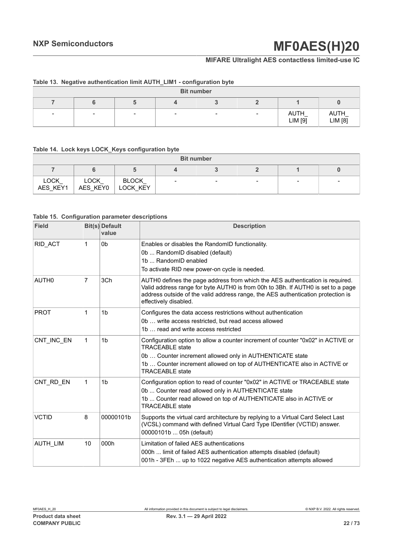## **MIFARE Ultralight AES contactless limited-use IC**

|                          | Table 19. Regative authentication mint AU III Elivi - comiguiation byte |        |                          |                          |        |                 |                 |  |  |
|--------------------------|-------------------------------------------------------------------------|--------|--------------------------|--------------------------|--------|-----------------|-----------------|--|--|
| <b>Bit number</b>        |                                                                         |        |                          |                          |        |                 |                 |  |  |
|                          |                                                                         |        |                          |                          |        |                 |                 |  |  |
| $\overline{\phantom{a}}$ | -                                                                       | $\sim$ | $\overline{\phantom{a}}$ | $\overline{\phantom{0}}$ | $\sim$ | AUTH<br>LIM [9] | AUTH<br>LIM [8] |  |  |

## **Table 13. Negative authentication limit AUTH\_LIM1 - configuration byte**

#### **Table 14. Lock keys LOCK\_Keys configuration byte**

| <b>Bit number</b>       |                         |                          |                          |  |  |  |  |  |
|-------------------------|-------------------------|--------------------------|--------------------------|--|--|--|--|--|
|                         |                         |                          |                          |  |  |  |  |  |
| <b>LOCK</b><br>AES KEY1 | <b>LOCK</b><br>AES KEY0 | <b>BLOCK</b><br>LOCK KEY | $\overline{\phantom{a}}$ |  |  |  |  |  |

#### **Table 15. Configuration parameter descriptions**

| <b>Field</b>      |    | <b>Bit(s)</b> Default<br>value | <b>Description</b>                                                                                                                                                                                                                                                             |
|-------------------|----|--------------------------------|--------------------------------------------------------------------------------------------------------------------------------------------------------------------------------------------------------------------------------------------------------------------------------|
| RID ACT           | 1  | 0 <sub>b</sub>                 | Enables or disables the RandomID functionality.<br>0b  RandomID disabled (default)<br>1b  RandomID enabled<br>To activate RID new power-on cycle is needed.                                                                                                                    |
| AUTH <sub>0</sub> | 7  | 3Ch                            | AUTH0 defines the page address from which the AES authentication is required.<br>Valid address range for byte AUTH0 is from 00h to 3Bh. If AUTH0 is set to a page<br>address outside of the valid address range, the AES authentication protection is<br>effectively disabled. |
| <b>PROT</b>       | 1  | 1 <sub>b</sub>                 | Configures the data access restrictions without authentication<br>0b  write access restricted, but read access allowed<br>1b  read and write access restricted                                                                                                                 |
| CNT INC EN        | 1  | 1 <sub>b</sub>                 | Configuration option to allow a counter increment of counter "0x02" in ACTIVE or<br><b>TRACEABLE</b> state<br>0b  Counter increment allowed only in AUTHENTICATE state<br>1b  Counter increment allowed on top of AUTHENTICATE also in ACTIVE or<br><b>TRACEABLE</b> state     |
| CNT RD EN         | 1  | 1 <sub>b</sub>                 | Configuration option to read of counter "0x02" in ACTIVE or TRACEABLE state<br>0b  Counter read allowed only in AUTHENTICATE state<br>1b  Counter read allowed on top of AUTHENTICATE also in ACTIVE or<br><b>TRACFABLE</b> state                                              |
| <b>VCTID</b>      | 8  | 00000101b                      | Supports the virtual card architecture by replying to a Virtual Card Select Last<br>(VCSL) command with defined Virtual Card Type IDentifier (VCTID) answer.<br>00000101b  05h (default)                                                                                       |
| <b>AUTH LIM</b>   | 10 | 000h                           | Limitation of failed AES authentications<br>000h  limit of failed AES authentication attempts disabled (default)<br>001h - 3FEh  up to 1022 negative AES authentication attempts allowed                                                                                       |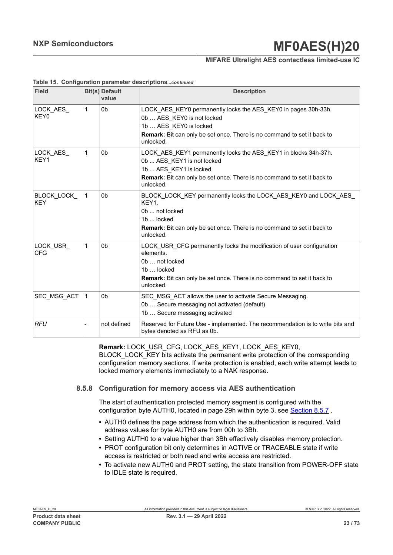## **MIFARE Ultralight AES contactless limited-use IC**

| <b>Field</b>             |              | <b>Bit(s)</b> Default<br>value | <b>Description</b>                                                                                                                                                                                                |
|--------------------------|--------------|--------------------------------|-------------------------------------------------------------------------------------------------------------------------------------------------------------------------------------------------------------------|
| LOCK_AES_<br>KEY0        | 1            | 0 <sub>b</sub>                 | LOCK_AES_KEY0 permanently locks the AES_KEY0 in pages 30h-33h.<br>0b  AES_KEY0 is not locked<br>1b  AES KEY0 is locked<br>Remark: Bit can only be set once. There is no command to set it back to<br>unlocked.    |
| LOCK AES<br>KEY1         | 1            | 0 <sub>b</sub>                 | LOCK AES KEY1 permanently locks the AES KEY1 in blocks 34h-37h.<br>0b  AES KEY1 is not locked<br>1b  AES KEY1 is locked<br>Remark: Bit can only be set once. There is no command to set it back to<br>unlocked.   |
| BLOCK LOCK<br><b>KEY</b> | $\mathbf{1}$ | 0 <sub>b</sub>                 | BLOCK LOCK KEY permanently locks the LOCK AES KEY0 and LOCK AES<br>KEY1.<br>0b  not locked<br>1b  locked<br><b>Remark:</b> Bit can only be set once. There is no command to set it back to<br>unlocked.           |
| LOCK USR<br><b>CFG</b>   | 1            | 0 <sub>b</sub>                 | LOCK USR CFG permanently locks the modification of user configuration<br>elements.<br>0b  not locked<br>1b  locked<br><b>Remark:</b> Bit can only be set once. There is no command to set it back to<br>unlocked. |
| SEC_MSG_ACT              | $\mathbf{1}$ | 0 <sub>b</sub>                 | SEC MSG ACT allows the user to activate Secure Messaging.<br>0b  Secure messaging not activated (default)<br>1b  Secure messaging activated                                                                       |
| <b>RFU</b>               |              | not defined                    | Reserved for Future Use - implemented. The recommendation is to write bits and<br>bytes denoted as RFU as 0b.                                                                                                     |

#### **Table 15. Configuration parameter descriptions***...continued*

**Remark:** LOCK\_USR\_CFG, LOCK\_AES\_KEY1, LOCK\_AES\_KEY0,

BLOCK\_LOCK\_KEY bits activate the permanent write protection of the corresponding configuration memory sections. If write protection is enabled, each write attempt leads to locked memory elements immediately to a NAK response.

## **8.5.8 Configuration for memory access via AES authentication**

<span id="page-22-0"></span>The start of authentication protected memory segment is configured with the configuration byte AUTH0, located in page 29h within byte 3, see [Section 8.5.7](#page-19-1) .

- **•** AUTH0 defines the page address from which the authentication is required. Valid address values for byte AUTH0 are from 00h to 3Bh.
- **•** Setting AUTH0 to a value higher than 3Bh effectively disables memory protection.
- **•** PROT configuration bit only determines in ACTIVE or TRACEABLE state if write access is restricted or both read and write access are restricted.
- **•** To activate new AUTH0 and PROT setting, the state transition from POWER-OFF state to IDLE state is required.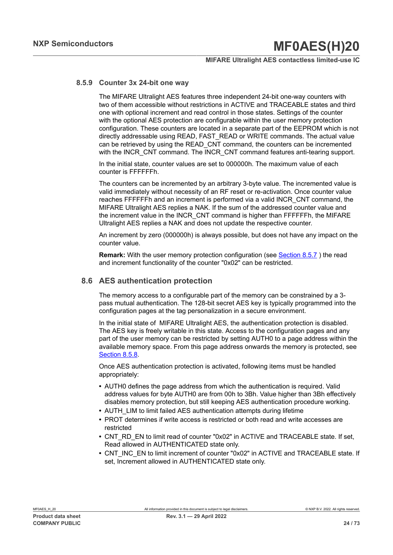### **MIFARE Ultralight AES contactless limited-use IC**

## **8.5.9 Counter 3x 24-bit one way**

The MIFARE Ultralight AES features three independent 24-bit one-way counters with two of them accessible without restrictions in ACTIVE and TRACEABLE states and third one with optional increment and read control in those states. Settings of the counter with the optional AES protection are configurable within the user memory protection configuration. These counters are located in a separate part of the EEPROM which is not directly addressable using READ, FAST\_READ or WRITE commands. The actual value can be retrieved by using the READ\_CNT command, the counters can be incremented with the INCR\_CNT command. The INCR\_CNT command features anti-tearing support.

In the initial state, counter values are set to 000000h. The maximum value of each counter is FFFFFFh.

The counters can be incremented by an arbitrary 3-byte value. The incremented value is valid immediately without necessity of an RF reset or re-activation. Once counter value reaches FFFFFFh and an increment is performed via a valid INCR\_CNT command, the MIFARE Ultralight AES replies a NAK. If the sum of the addressed counter value and the increment value in the INCR\_CNT command is higher than FFFFFFh, the MIFARE Ultralight AES replies a NAK and does not update the respective counter.

An increment by zero (000000h) is always possible, but does not have any impact on the counter value.

**Remark:** With the user memory protection configuration (see [Section 8.5.7](#page-19-1) ) the read and increment functionality of the counter "0x02" can be restricted.

## **8.6 AES authentication protection**

The memory access to a configurable part of the memory can be constrained by a 3 pass mutual authentication. The 128-bit secret AES key is typically programmed into the configuration pages at the tag personalization in a secure environment.

In the initial state of MIFARE Ultralight AES, the authentication protection is disabled. The AES key is freely writable in this state. Access to the configuration pages and any part of the user memory can be restricted by setting AUTH0 to a page address within the available memory space. From this page address onwards the memory is protected, see [Section 8.5.8](#page-22-0).

Once AES authentication protection is activated, following items must be handled appropriately:

- **•** AUTH0 defines the page address from which the authentication is required. Valid address values for byte AUTH0 are from 00h to 3Bh. Value higher than 3Bh effectively disables memory protection, but still keeping AES authentication procedure working.
- AUTH\_LIM to limit failed AES authentication attempts during lifetime
- **•** PROT determines if write access is restricted or both read and write accesses are restricted
- **•** CNT\_RD\_EN to limit read of counter "0x02" in ACTIVE and TRACEABLE state. If set, Read allowed in AUTHENTICATED state only.
- CNT\_INC\_EN to limit increment of counter "0x02" in ACTIVE and TRACEABLE state. If set, Increment allowed in AUTHENTICATED state only.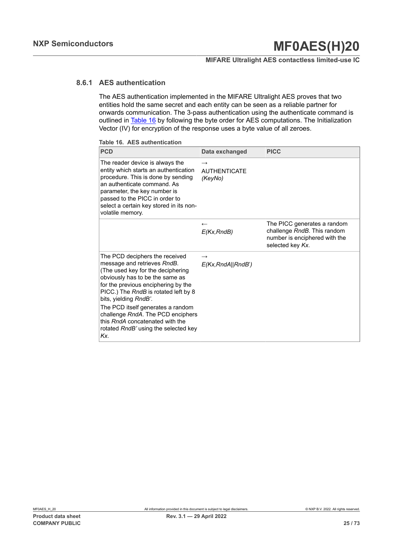## **MIFARE Ultralight AES contactless limited-use IC**

## **8.6.1 AES authentication**

<span id="page-24-0"></span>The AES authentication implemented in the MIFARE Ultralight AES proves that two entities hold the same secret and each entity can be seen as a reliable partner for onwards communication. The 3-pass authentication using the authenticate command is outlined in [Table](#page-24-1) 16 by following the byte order for AES computations. The Initialization Vector (IV) for encryption of the response uses a byte value of all zeroes.

<span id="page-24-1"></span>

| <b>PCD</b>                                                                                                                                                                                                                                                                                                                                                                                                | Data exchanged                                  | <b>PICC</b>                                                                                                     |
|-----------------------------------------------------------------------------------------------------------------------------------------------------------------------------------------------------------------------------------------------------------------------------------------------------------------------------------------------------------------------------------------------------------|-------------------------------------------------|-----------------------------------------------------------------------------------------------------------------|
| The reader device is always the<br>entity which starts an authentication<br>procedure. This is done by sending<br>an authenticate command. As<br>parameter, the key number is<br>passed to the PICC in order to<br>select a certain key stored in its non-<br>volatile memory.                                                                                                                            | $\rightarrow$<br><b>AUTHENTICATE</b><br>(KeyNo) |                                                                                                                 |
|                                                                                                                                                                                                                                                                                                                                                                                                           | $\overline{\phantom{m}}$<br>E(Kx, RndB)         | The PICC generates a random<br>challenge RndB. This random<br>number is enciphered with the<br>selected key Kx. |
| The PCD deciphers the received<br>message and retrieves RndB.<br>(The used key for the deciphering<br>obviously has to be the same as<br>for the previous enciphering by the<br>PICC.) The RndB is rotated left by 8<br>bits, yielding RndB'.<br>The PCD itself generates a random<br>challenge RndA. The PCD enciphers<br>this RndA concatenated with the<br>rotated RndB' using the selected key<br>Kx. | $\rightarrow$<br>E(Kx, RndA  RndB')             |                                                                                                                 |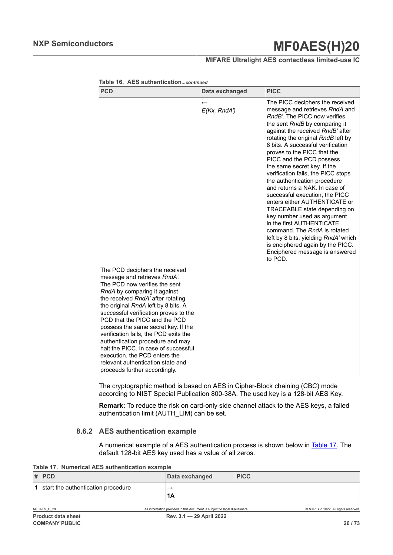## **MIFARE Ultralight AES contactless limited-use IC**

| <b>PCD</b>                                                                                                                                                                                                                                                                                                                                                                                                                                                                                                                                               | Data exchanged               | <b>PICC</b>                                                                                                                                                                                                                                                                                                                                                                                                                                                                                                                                                                                                                                                                                                                                                                |
|----------------------------------------------------------------------------------------------------------------------------------------------------------------------------------------------------------------------------------------------------------------------------------------------------------------------------------------------------------------------------------------------------------------------------------------------------------------------------------------------------------------------------------------------------------|------------------------------|----------------------------------------------------------------------------------------------------------------------------------------------------------------------------------------------------------------------------------------------------------------------------------------------------------------------------------------------------------------------------------------------------------------------------------------------------------------------------------------------------------------------------------------------------------------------------------------------------------------------------------------------------------------------------------------------------------------------------------------------------------------------------|
|                                                                                                                                                                                                                                                                                                                                                                                                                                                                                                                                                          | $\leftarrow$<br>E(Kx, RndA') | The PICC deciphers the received<br>message and retrieves RndA and<br>RndB'. The PICC now verifies<br>the sent RndB by comparing it<br>against the received RndB' after<br>rotating the original RndB left by<br>8 bits. A successful verification<br>proves to the PICC that the<br>PICC and the PCD possess<br>the same secret key. If the<br>verification fails, the PICC stops<br>the authentication procedure<br>and returns a NAK. In case of<br>successful execution, the PICC<br>enters either AUTHENTICATE or<br>TRACEABLE state depending on<br>key number used as argument<br>in the first AUTHENTICATE<br>command. The RndA is rotated<br>left by 8 bits, yielding RndA' which<br>is enciphered again by the PICC.<br>Enciphered message is answered<br>to PCD. |
| The PCD deciphers the received<br>message and retrieves RndA'.<br>The PCD now verifies the sent<br>RndA by comparing it against<br>the received RndA' after rotating<br>the original RndA left by 8 bits. A<br>successful verification proves to the<br>PCD that the PICC and the PCD<br>possess the same secret key. If the<br>verification fails, the PCD exits the<br>authentication procedure and may<br>halt the PICC. In case of successful<br>execution, the PCD enters the<br>relevant authentication state and<br>proceeds further accordingly. |                              |                                                                                                                                                                                                                                                                                                                                                                                                                                                                                                                                                                                                                                                                                                                                                                            |

**Table 16. AES authentication***...continued*

The cryptographic method is based on AES in Cipher-Block chaining (CBC) mode according to NIST Special Publication 800-38A. The used key is a 128-bit AES Key.

**Remark:** To reduce the risk on card-only side channel attack to the AES keys, a failed authentication limit (AUTH\_LIM) can be set.

## **8.6.2 AES authentication example**

<span id="page-25-0"></span>A numerical example of a AES authentication process is shown below in [Table](#page-25-0) 17. The default 128-bit AES key used has a value of all zeros.

**Table 17. Numerical AES authentication example**

| $#$ PCD                            | Data exchanged | <b>PICC</b> |
|------------------------------------|----------------|-------------|
| start the authentication procedure | _              |             |
|                                    | 1A             |             |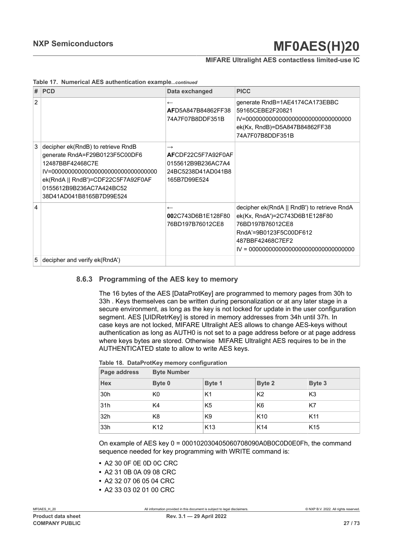### **MIFARE Ultralight AES contactless limited-use IC**

|  |  |  |  | Table 17. Numerical AES authentication examplecontinued |
|--|--|--|--|---------------------------------------------------------|
|--|--|--|--|---------------------------------------------------------|

| #              | PCD                                                                                                                                                                                    | Data exchanged                                                                                  | <b>PICC</b>                                                                                                                                     |
|----------------|----------------------------------------------------------------------------------------------------------------------------------------------------------------------------------------|-------------------------------------------------------------------------------------------------|-------------------------------------------------------------------------------------------------------------------------------------------------|
| $\overline{2}$ |                                                                                                                                                                                        | $\overline{\phantom{m}}$<br>AFD5A847B84862FF38<br>74A7F07B8DDF351B                              | generate RndB=1AE4174CA173EBBC<br>59165CEBE2F20821<br>ek(Kx, RndB)=D5A847B84862FF38<br>74A7F07B8DDF351B                                         |
| 3              | decipher ek(RndB) to retrieve RndB<br>generate RndA=F29B0123F5C00DF6<br>12487BBF42468C7E<br>ek(RndA    RndB')=CDF22C5F7A92F0AF<br>0155612B9B236AC7A424BC52<br>38D41AD041B8165B7D99E524 | $\rightarrow$<br>AFCDF22C5F7A92F0AF<br>0155612B9B236AC7A4<br>24BC5238D41AD041B8<br>165B7D99E524 |                                                                                                                                                 |
| $\overline{4}$ |                                                                                                                                                                                        | $\overline{\phantom{0}}$<br>002C743D6B1F128F80<br>76BD197B76012CE8                              | decipher ek(RndA    RndB') to retrieve RndA<br>ek(Kx, RndA')=2C743D6B1E128F80<br>76BD197B76012CE8<br>RndA'=9B0123F5C00DF612<br>487BBF42468C7EF2 |
| 5              | decipher and verify ek(RndA')                                                                                                                                                          |                                                                                                 |                                                                                                                                                 |

### **8.6.3 Programming of the AES key to memory**

The 16 bytes of the AES [DataProtKey] are programmed to memory pages from 30h to 33h . Keys themselves can be written during personalization or at any later stage in a secure environment, as long as the key is not locked for update in the user configuration segment. AES [UIDRetrKey] is stored in memory addresses from 34h until 37h. In case keys are not locked, MIFARE Ultralight AES allows to change AES-keys without authentication as long as AUTH0 is not set to a page address before or at page address where keys bytes are stored. Otherwise MIFARE Ultralight AES requires to be in the AUTHENTICATED state to allow to write AES keys.

|  |  |  | Table 18. DataProtKey memory configuration |
|--|--|--|--------------------------------------------|
|--|--|--|--------------------------------------------|

| Page address    | <b>Byte Number</b> |                 |                 |                 |  |  |
|-----------------|--------------------|-----------------|-----------------|-----------------|--|--|
| <b>Hex</b>      | Byte 0             | Byte 1          | Byte 2          | Byte 3          |  |  |
| 30h             | K <sub>0</sub>     | K1              | K <sub>2</sub>  | K3              |  |  |
| 31h             | K4                 | K <sub>5</sub>  | K <sub>6</sub>  | K7              |  |  |
| 32 <sub>h</sub> | K8                 | K9              | K <sub>10</sub> | K <sub>11</sub> |  |  |
| 33h             | K <sub>12</sub>    | K <sub>13</sub> | K <sub>14</sub> | K <sub>15</sub> |  |  |

On example of AES key 0 = 000102030405060708090A0B0C0D0E0Fh, the command sequence needed for key programming with WRITE command is:

- **•** A2 30 0F 0E 0D 0C CRC
- **•** A2 31 0B 0A 09 08 CRC
- **•** A2 32 07 06 05 04 CRC
- **•** A2 33 03 02 01 00 CRC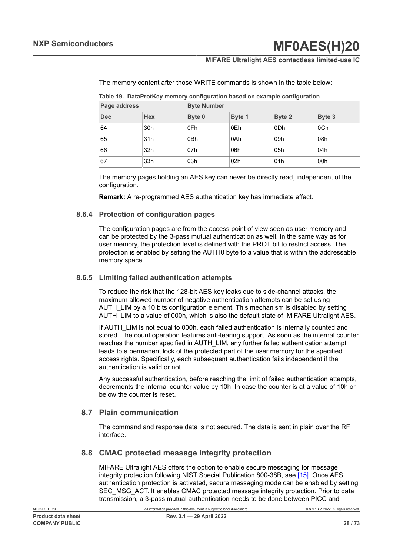## **MIFARE Ultralight AES contactless limited-use IC**

The memory content after those WRITE commands is shown in the table below:

| Page address |            | <b>Byte Number</b> |                 |        |        |
|--------------|------------|--------------------|-----------------|--------|--------|
| <b>Dec</b>   | <b>Hex</b> | Byte 0             | Byte 1          | Byte 2 | Byte 3 |
| 64           | 30h        | 0Fh                | 0Eh             | 0Dh    | 0Ch    |
| 65           | 31h        | 0Bh                | 0Ah             | 09h    | 08h    |
| 66           | 32h        | 07h                | 06h             | 05h    | 04h    |
| 67           | 33h        | 03h                | 02 <sub>h</sub> | 01h    | 00h    |

**Table 19. DataProtKey memory configuration based on example configuration**

The memory pages holding an AES key can never be directly read, independent of the configuration.

**Remark:** A re-programmed AES authentication key has immediate effect.

## **8.6.4 Protection of configuration pages**

The configuration pages are from the access point of view seen as user memory and can be protected by the 3-pass mutual authentication as well. In the same way as for user memory, the protection level is defined with the PROT bit to restrict access. The protection is enabled by setting the AUTH0 byte to a value that is within the addressable memory space.

### **8.6.5 Limiting failed authentication attempts**

To reduce the risk that the 128-bit AES key leaks due to side-channel attacks, the maximum allowed number of negative authentication attempts can be set using AUTH\_LIM by a 10 bits configuration element. This mechanism is disabled by setting AUTH\_LIM to a value of 000h, which is also the default state of MIFARE Ultralight AES.

If AUTH LIM is not equal to 000h, each failed authentication is internally counted and stored. The count operation features anti-tearing support. As soon as the internal counter reaches the number specified in AUTH\_LIM, any further failed authentication attempt leads to a permanent lock of the protected part of the user memory for the specified access rights. Specifically, each subsequent authentication fails independent if the authentication is valid or not.

Any successful authentication, before reaching the limit of failed authentication attempts, decrements the internal counter value by 10h. In case the counter is at a value of 10h or below the counter is reset.

## **8.7 Plain communication**

The command and response data is not secured. The data is sent in plain over the RF interface.

## **8.8 CMAC protected message integrity protection**

MIFARE Ultralight AES offers the option to enable secure messaging for message integrity protection following NIST Special Publication 800-38B, see [\[15\].](#page-65-0) Once AES authentication protection is activated, secure messaging mode can be enabled by setting SEC\_MSG\_ACT. It enables CMAC protected message integrity protection. Prior to data transmission, a 3-pass mutual authentication needs to be done between PICC and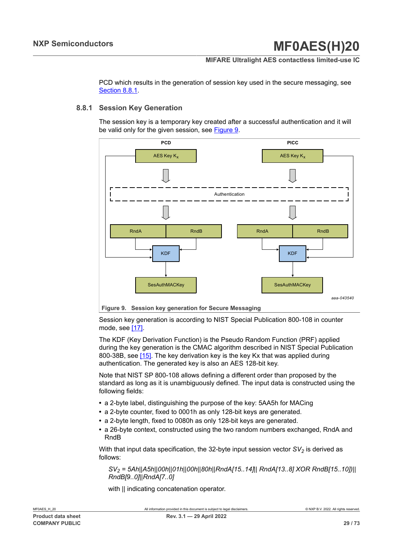### **MIFARE Ultralight AES contactless limited-use IC**

PCD which results in the generation of session key used in the secure messaging, see [Section 8.8.1](#page-28-0).

### **8.8.1 Session Key Generation**

<span id="page-28-0"></span>The session key is a temporary key created after a successful authentication and it will be valid only for the given session, see [Figure 9](#page-28-1).

<span id="page-28-1"></span>

Session key generation is according to NIST Special Publication 800-108 in counter mode, see [\[17\]](#page-66-2).

The KDF (Key Derivation Function) is the Pseudo Random Function (PRF) applied during the key generation is the CMAC algorithm described in NIST Special Publication 800-38B, see [\[15\].](#page-65-0) The key derivation key is the key Kx that was applied during authentication. The generated key is also an AES 128-bit key.

Note that NIST SP 800-108 allows defining a different order than proposed by the standard as long as it is unambiguously defined. The input data is constructed using the following fields:

- **•** a 2-byte label, distinguishing the purpose of the key: 5AA5h for MACing
- **•** a 2-byte counter, fixed to 0001h as only 128-bit keys are generated.
- **•** a 2-byte length, fixed to 0080h as only 128-bit keys are generated.
- **•** a 26-byte context, constructed using the two random numbers exchanged, RndA and RndB

With that input data specification, the 32-byte input session vector *SV2* is derived as follows:

*SV2 = 5Ah||A5h||00h||01h||00h||80h||RndA[15..14]|| RndA[13..8] XOR RndB[15..10])|| RndB[9..0]||RndA[7..0]*

with || indicating concatenation operator.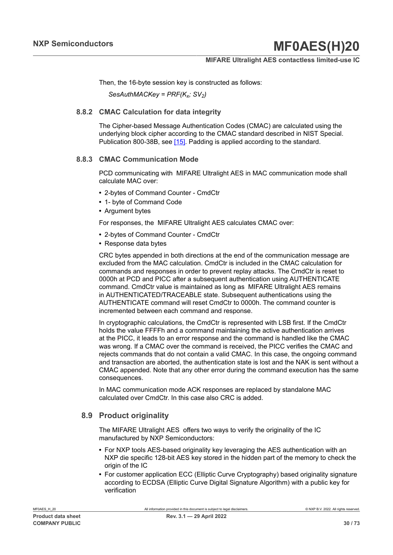## **MIFARE Ultralight AES contactless limited-use IC**

Then, the 16-byte session key is constructed as follows:

*SesAuthMACKey = PRF(K<sup>x</sup> ; SV2)*

### **8.8.2 CMAC Calculation for data integrity**

The Cipher-based Message Authentication Codes (CMAC) are calculated using the underlying block cipher according to the CMAC standard described in NIST Special. Publication 800-38B, see [\[15\].](#page-65-0) Padding is applied according to the standard.

### **8.8.3 CMAC Communication Mode**

PCD communicating with MIFARE Ultralight AES in MAC communication mode shall calculate MAC over:

- **•** 2-bytes of Command Counter CmdCtr
- **•** 1- byte of Command Code
- **•** Argument bytes

For responses, the MIFARE Ultralight AES calculates CMAC over:

- **•** 2-bytes of Command Counter CmdCtr
- **•** Response data bytes

CRC bytes appended in both directions at the end of the communication message are excluded from the MAC calculation. CmdCtr is included in the CMAC calculation for commands and responses in order to prevent replay attacks. The CmdCtr is reset to 0000h at PCD and PICC after a subsequent authentication using AUTHENTICATE command. CmdCtr value is maintained as long as MIFARE Ultralight AES remains in AUTHENTICATED/TRACEABLE state. Subsequent authentications using the AUTHENTICATE command will reset CmdCtr to 0000h. The command counter is incremented between each command and response.

In cryptographic calculations, the CmdCtr is represented with LSB first. If the CmdCtr holds the value FFFFh and a command maintaining the active authentication arrives at the PICC, it leads to an error response and the command is handled like the CMAC was wrong. If a CMAC over the command is received, the PICC verifies the CMAC and rejects commands that do not contain a valid CMAC. In this case, the ongoing command and transaction are aborted, the authentication state is lost and the NAK is sent without a CMAC appended. Note that any other error during the command execution has the same consequences.

In MAC communication mode ACK responses are replaced by standalone MAC calculated over CmdCtr. In this case also CRC is added.

## **8.9 Product originality**

The MIFARE Ultralight AES offers two ways to verify the originality of the IC manufactured by NXP Semiconductors:

- **•** For NXP tools AES-based originality key leveraging the AES authentication with an NXP die specific 128-bit AES key stored in the hidden part of the memory to check the origin of the IC
- **•** For customer application ECC (Elliptic Curve Cryptography) based originality signature according to ECDSA (Elliptic Curve Digital Signature Algorithm) with a public key for verification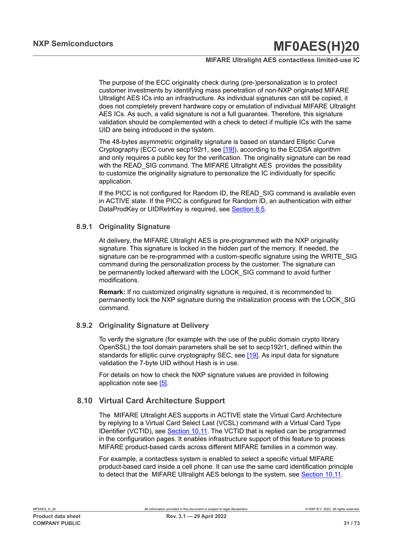## **MIFARE Ultralight AES contactless limited-use IC**

The purpose of the ECC originality check during (pre-)personalization is to protect customer investments by identifying mass penetration of non-NXP originated MIFARE Ultralight AES ICs into an infrastructure. As individual signatures can still be copied, it does not completely prevent hardware copy or emulation of individual MIFARE Ultralight AES ICs. As such, a valid signature is not a full guarantee. Therefore, this signature validation should be complemented with a check to detect if multiple ICs with the same UID are being introduced in the system.

The 48-bytes asymmetric originality signature is based on standard Elliptic Curve Cryptography (ECC curve secp192r1, see [\[19\]\)](#page-66-3), according to the ECDSA algorithm and only requires a public key for the verification. The originality signature can be read with the READ SIG command. The MIFARE Ultralight AES provides the possibility to customize the originality signature to personalize the IC individually for specific application.

If the PICC is not configured for Random ID, the READ SIG command is available even in ACTIVE state. If the PICC is configured for Random ID, an authentication with either DataProdKey or UIDRetrKey is required, see [Section 8.5](#page-15-1).

## **8.9.1 Originality Signature**

At delivery, the MIFARE Ultralight AES is pre-programmed with the NXP originality signature. This signature is locked in the hidden part of the memory. If needed, the signature can be re-programmed with a custom-specific signature using the WRITE\_SIG command during the personalization process by the customer. The signature can be permanently locked afterward with the LOCK\_SIG command to avoid further modifications.

**Remark:** If no customized originality signature is required, it is recommended to permanently lock the NXP signature during the initialization process with the LOCK\_SIG command.

## **8.9.2 Originality Signature at Delivery**

To verify the signature (for example with the use of the public domain crypto library OpenSSL) the tool domain parameters shall be set to secp192r1, defined within the standards for elliptic curve cryptography SEC, see [\[19\]](#page-66-3). As input data for signature validation the 7-byte UID without Hash is in use.

For details on how to check the NXP signature values are provided in following application note see [\[5\].](#page-65-4)

## **8.10 Virtual Card Architecture Support**

The MIFARE Ultralight AES supports in ACTIVE state the Virtual Card Architecture by replying to a Virtual Card Select Last (VCSL) command with a Virtual Card Type IDentifier (VCTID), see [Section](#page-55-0) 10.11. The VCTID that is replied can be programmed in the configuration pages. It enables infrastructure support of this feature to process MIFARE product-based cards across different MIFARE families in a common way.

For example, a contactless system is enabled to select a specific virtual MIFARE product-based card inside a cell phone. It can use the same card identification principle to detect that the MIFARE Ultralight AES belongs to the system, see [Section](#page-55-0) 10.11.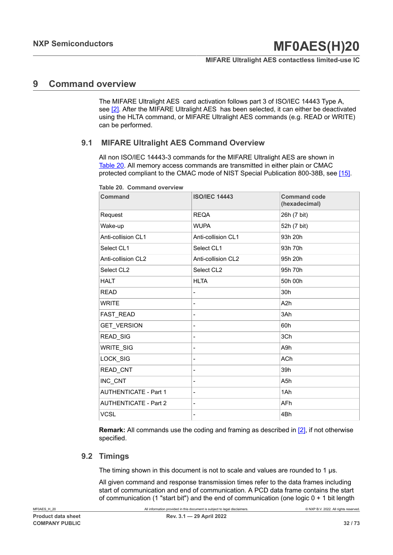## **MIFARE Ultralight AES contactless limited-use IC**

## **9 Command overview**

The MIFARE Ultralight AES card activation follows part 3 of ISO/IEC 14443 Type A, see [\[2\].](#page-65-2) After the MIFARE Ultralight AES has been selected, it can either be deactivated using the HLTA command, or MIFARE Ultralight AES commands (e.g. READ or WRITE) can be performed.

## **9.1 MIFARE Ultralight AES Command Overview**

All non ISO/IEC 14443-3 commands for the MIFARE Ultralight AES are shown in [Table](#page-31-0) 20. All memory access commands are transmitted in either plain or CMAC protected compliant to the CMAC mode of NIST Special Publication 800-38B, see [\[15\]](#page-65-0).

| Command                      | <b>ISO/IEC 14443</b> | <b>Command code</b><br>(hexadecimal) |
|------------------------------|----------------------|--------------------------------------|
| Request                      | <b>REQA</b>          | 26h (7 bit)                          |
| Wake-up                      | <b>WUPA</b>          | 52h (7 bit)                          |
| Anti-collision CL1           | Anti-collision CL1   | 93h 20h                              |
| Select CL1                   | Select CL1           | 93h 70h                              |
| Anti-collision CL2           | Anti-collision CL2   | 95h 20h                              |
| Select CL2                   | Select CL2           | 95h 70h                              |
| <b>HALT</b>                  | <b>HLTA</b>          | 50h 00h                              |
| <b>READ</b>                  |                      | 30h                                  |
| <b>WRITE</b>                 |                      | A <sub>2</sub> h                     |
| FAST_READ                    |                      | 3Ah                                  |
| <b>GET VERSION</b>           |                      | 60h                                  |
| READ_SIG                     |                      | 3Ch                                  |
| WRITE_SIG                    |                      | A9h                                  |
| LOCK_SIG                     | -                    | <b>ACh</b>                           |
| READ_CNT                     | -                    | 39h                                  |
| INC_CNT                      |                      | A <sub>5</sub> h                     |
| <b>AUTHENTICATE - Part 1</b> | -                    | 1Ah                                  |
| <b>AUTHENTICATE - Part 2</b> |                      | <b>AFh</b>                           |
| <b>VCSL</b>                  |                      | 4Bh                                  |
|                              |                      |                                      |

<span id="page-31-0"></span>**Table 20. Command overview**

**Remark:** All commands use the coding and framing as described in [\[2\],](#page-65-2) if not otherwise specified.

## <span id="page-31-1"></span>**9.2 Timings**

The timing shown in this document is not to scale and values are rounded to 1 μs.

All given command and response transmission times refer to the data frames including start of communication and end of communication. A PCD data frame contains the start of communication (1 "start bit") and the end of communication (one logic 0 + 1 bit length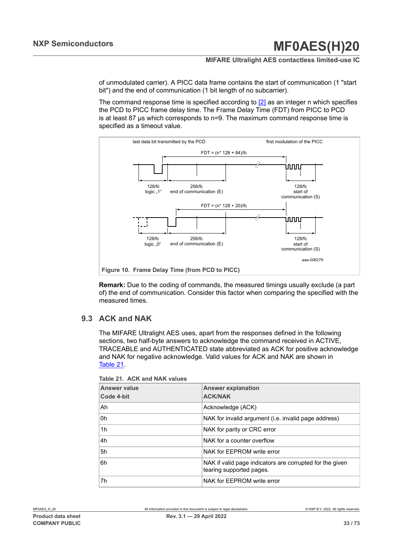## **MIFARE Ultralight AES contactless limited-use IC**

of unmodulated carrier). A PICC data frame contains the start of communication (1 "start bit") and the end of communication (1 bit length of no subcarrier).

The command response time is specified according to  $[2]$  as an integer n which specifies the PCD to PICC frame delay time. The Frame Delay Time (FDT) from PICC to PCD is at least 87 μs which corresponds to n=9. The maximum command response time is specified as a timeout value.



**Remark:** Due to the coding of commands, the measured timings usually exclude (a part of) the end of communication. Consider this factor when comparing the specified with the measured times.

## **9.3 ACK and NAK**

<span id="page-32-1"></span>The MIFARE Ultralight AES uses, apart from the responses defined in the following sections, two half-byte answers to acknowledge the command received in ACTIVE, TRACEABLE and AUTHENTICATED state abbreviated as ACK for positive acknowledge and NAK for negative acknowledge. Valid values for ACK and NAK are shown in [Table](#page-32-0) 21.

| <b>Answer value</b><br>Code 4-bit | <b>Answer explanation</b><br><b>ACK/NAK</b>                                          |
|-----------------------------------|--------------------------------------------------------------------------------------|
| Ah                                | Acknowledge (ACK)                                                                    |
| 0h                                | NAK for invalid argument (i.e. invalid page address)                                 |
| 1h                                | NAK for parity or CRC error                                                          |
| 4h                                | NAK for a counter overflow                                                           |
| 5h                                | NAK for EEPROM write error                                                           |
| 6h                                | NAK if valid page indicators are corrupted for the given<br>tearing supported pages. |
| 7h                                | NAK for EEPROM write error                                                           |

<span id="page-32-0"></span>**Table 21. ACK and NAK values**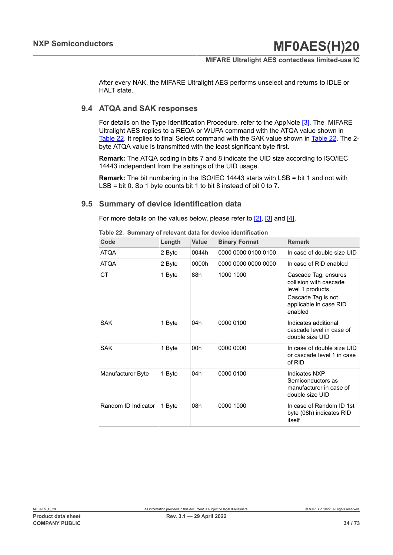### **MIFARE Ultralight AES contactless limited-use IC**

After every NAK, the MIFARE Ultralight AES performs unselect and returns to IDLE or HALT state.

## **9.4 ATQA and SAK responses**

For details on the Type Identification Procedure, refer to the AppNote [\[3\].](#page-65-5) The MIFARE Ultralight AES replies to a REQA or WUPA command with the ATQA value shown in [Table](#page-33-0) 22. It replies to final Select command with the SAK value shown in [Table](#page-33-0) 22. The 2 byte ATQA value is transmitted with the least significant byte first.

**Remark:** The ATQA coding in bits 7 and 8 indicate the UID size according to ISO/IEC 14443 independent from the settings of the UID usage.

**Remark:** The bit numbering in the ISO/IEC 14443 starts with LSB = bit 1 and not with LSB = bit 0. So 1 byte counts bit 1 to bit 8 instead of bit 0 to 7.

## **9.5 Summary of device identification data**

For more details on the values below, please refer to  $[2]$ ,  $[3]$  and  $[4]$ .

<span id="page-33-0"></span>**Table 22. Summary of relevant data for device identification**

| Code                | Length | Value | <b>Binary Format</b> | <b>Remark</b>                                                                                                                 |
|---------------------|--------|-------|----------------------|-------------------------------------------------------------------------------------------------------------------------------|
| <b>ATQA</b>         | 2 Byte | 0044h | 0000 0000 0100 0100  | In case of double size UID                                                                                                    |
| <b>ATQA</b>         | 2 Byte | 0000h | 0000 0000 0000 0000  | In case of RID enabled                                                                                                        |
| <b>CT</b>           | 1 Byte | 88h   | 1000 1000            | Cascade Tag, ensures<br>collision with cascade<br>level 1 products<br>Cascade Tag is not<br>applicable in case RID<br>enabled |
| SAK                 | 1 Byte | 04h   | 0000 0100            | Indicates additional<br>cascade level in case of<br>double size UID                                                           |
| SAK                 | 1 Byte | 00h   | 0000 0000            | In case of double size UID<br>or cascade level 1 in case<br>of RID                                                            |
| Manufacturer Byte   | 1 Byte | 04h   | 0000 0100            | Indicates NXP<br>Semiconductors as<br>manufacturer in case of<br>double size UID                                              |
| Random ID Indicator | 1 Byte | 08h   | 0000 1000            | In case of Random ID 1st<br>byte (08h) indicates RID<br>itself                                                                |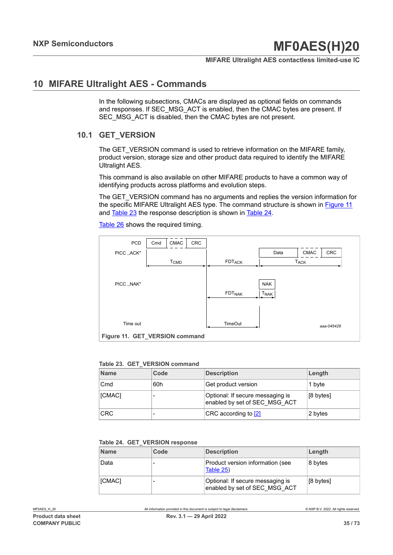#### **MIFARE Ultralight AES contactless limited-use IC**

## **10 MIFARE Ultralight AES - Commands**

In the following subsections, CMACs are displayed as optional fields on commands and responses. If SEC\_MSG\_ACT is enabled, then the CMAC bytes are present. If SEC\_MSG\_ACT is disabled, then the CMAC bytes are not present.

## **10.1 GET\_VERSION**

The GET VERSION command is used to retrieve information on the MIFARE family, product version, storage size and other product data required to identify the MIFARE Ultralight AES.

This command is also available on other MIFARE products to have a common way of identifying products across platforms and evolution steps.

The GET\_VERSION command has no arguments and replies the version information for the specific MIFARE Ultralight AES type. The command structure is shown in [Figure](#page-34-0) 11 and [Table](#page-34-1) 23 the response description is shown in [Table](#page-34-2) 24.

[Table](#page-35-0) 26 shows the required timing.

<span id="page-34-0"></span>

#### <span id="page-34-1"></span>**Table 23. GET\_VERSION command**

| <b>Name</b> | Code | <b>Description</b>                                                | Length    |
|-------------|------|-------------------------------------------------------------------|-----------|
| Cmd         | 60h  | Get product version                                               | 1 byte    |
| [CMAC]      |      | Optional: If secure messaging is<br>enabled by set of SEC MSG ACT | [8 bytes] |
| <b>CRC</b>  |      | CRC according to [2]                                              | 2 bytes   |

#### <span id="page-34-2"></span>**Table 24. GET\_VERSION response**

| <b>Name</b> | Code | <b>Description</b>                                                | Length    |
|-------------|------|-------------------------------------------------------------------|-----------|
| Data        |      | Product version information (see<br>Table 25)                     | 8 bytes   |
| [CMAC]      |      | Optional: If secure messaging is<br>enabled by set of SEC MSG ACT | [8 bytes] |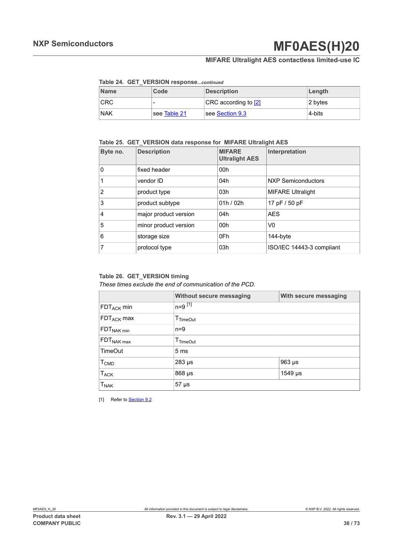## **MIFARE Ultralight AES contactless limited-use IC**

#### <span id="page-35-2"></span>**Table 24. GET\_VERSION response***...continued*

| <b>Name</b> | Code         | <b>Description</b>   | Length  |
|-------------|--------------|----------------------|---------|
| <b>CRC</b>  | -            | CRC according to [2] | 2 bytes |
| <b>NAK</b>  | see Table 21 | see Section 9.3      | 4-bits  |

### <span id="page-35-1"></span>**Table 25. GET\_VERSION data response for MIFARE Ultralight AES**

| Byte no.       | <b>Description</b>    | <b>MIFARE</b><br><b>Ultralight AES</b> | Interpretation            |
|----------------|-----------------------|----------------------------------------|---------------------------|
| 0              | fixed header          | 00h                                    |                           |
| 1              | vendor ID             | 04h                                    | <b>NXP Semiconductors</b> |
| $\overline{2}$ | product type          | 03h                                    | <b>MIFARE Ultralight</b>  |
| 3              | product subtype       | 01h/02h                                | 17 pF / 50 pF             |
| $\overline{4}$ | major product version | 04h                                    | <b>AES</b>                |
| 5              | minor product version | 00h                                    | V0                        |
| 6              | storage size          | 0Fh                                    | 144-byte                  |
| 7              | protocol type         | 03h                                    | ISO/IEC 14443-3 compliant |

#### <span id="page-35-0"></span>**Table 26. GET\_VERSION timing**

#### *These times exclude the end of communication of the PCD.*

|                         | Without secure messaging | With secure messaging |  |
|-------------------------|--------------------------|-----------------------|--|
| $FDT_{ACK}$ min         | $n=9$ $^{[1]}$           |                       |  |
| $FDT_{ACK}$ max         | $T_{TimeOut}$            |                       |  |
| $FDT_{NAK min}$         | $n=9$                    |                       |  |
| $FDT_{NAK max}$         | $T_{TimeOut}$            |                       |  |
| <b>TimeOut</b>          | 5 <sub>ms</sub>          |                       |  |
| <b>T</b> <sub>CMD</sub> | 283 µs                   | $963 \mu s$           |  |
| $T_{ACK}$               | 868 µs                   | 1549 µs               |  |
| <b>T<sub>NAK</sub></b>  | $57 \mu s$               |                       |  |

[1] Refer to **[Section 9.2](#page-31-1)**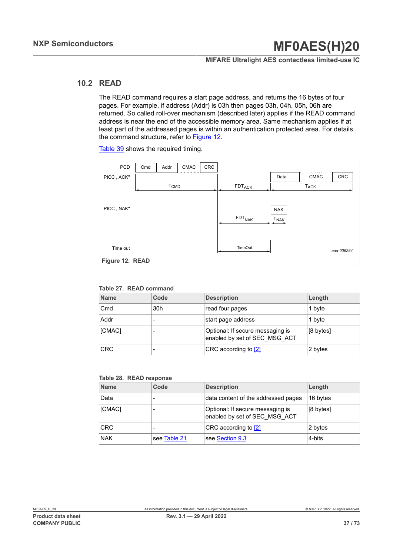### **MIFARE Ultralight AES contactless limited-use IC**

### **10.2 READ**

The READ command requires a start page address, and returns the 16 bytes of four pages. For example, if address (Addr) is 03h then pages 03h, 04h, 05h, 06h are returned. So called roll-over mechanism (described later) applies if the READ command address is near the end of the accessible memory area. Same mechanism applies if at least part of the addressed pages is within an authentication protected area. For details the command structure, refer to [Figure 12](#page-36-0).

Table 39 shows the required timing.

<span id="page-36-0"></span>

<span id="page-36-1"></span>**Table 27. READ command**

| <b>Name</b> | Code            | <b>Description</b>                                                | Length    |
|-------------|-----------------|-------------------------------------------------------------------|-----------|
| Cmd         | 30 <sub>h</sub> | read four pages                                                   | 1 byte    |
| Addr        |                 | start page address                                                | 1 byte    |
| [CMAC]      |                 | Optional: If secure messaging is<br>enabled by set of SEC MSG ACT | [8 bytes] |
| <b>CRC</b>  |                 | CRC according to [2]                                              | 2 bytes   |

#### <span id="page-36-2"></span>**Table 28. READ response**

| <b>Name</b> | Code                     | <b>Description</b>                                                | Length    |
|-------------|--------------------------|-------------------------------------------------------------------|-----------|
| Data        |                          | data content of the addressed pages                               | 16 bytes  |
| [CMAC]      |                          | Optional: If secure messaging is<br>enabled by set of SEC MSG ACT | [8 bytes] |
| <b>CRC</b>  | $\overline{\phantom{0}}$ | CRC according to [2]                                              | 2 bytes   |
| <b>NAK</b>  | see Table 21             | see Section 9.3                                                   | 4-bits    |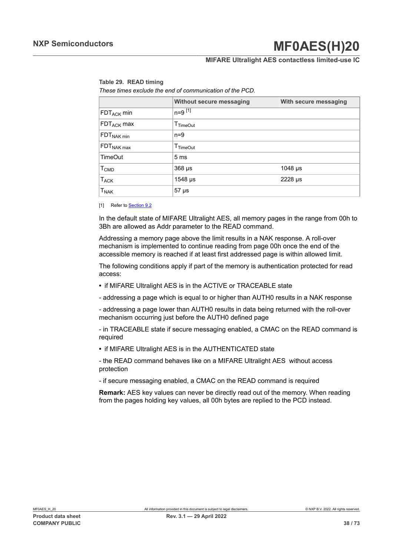### **MIFARE Ultralight AES contactless limited-use IC**

<span id="page-37-0"></span>

|  | Table 29. READ timing |  |  |
|--|-----------------------|--|--|
|  |                       |  |  |

*These times exclude the end of communication of the PCD.*

|                  | <b>Without secure messaging</b> | With secure messaging      |  |  |
|------------------|---------------------------------|----------------------------|--|--|
| $FDT_{ACK}$ min  | $n=9$ [1]                       |                            |  |  |
| $FDT_{ACK}$ max  | $\mathsf{T}_{\mathsf{TimeOut}}$ |                            |  |  |
| $FDT_{NAK min}$  | $n=9$                           |                            |  |  |
| $FDT_{NAK max}$  | T <sub>TimeOut</sub>            |                            |  |  |
| <b>TimeOut</b>   | 5 <sub>ms</sub>                 |                            |  |  |
| T <sub>CMD</sub> | $368 \mu s$                     | 1048 $\mu$ s               |  |  |
| $T_{ACK}$        | $1548$ µs                       | $2228 \text{ }\mu\text{s}$ |  |  |
| $T_{\sf NAK}$    | $57 \mu s$                      |                            |  |  |

[1] Refer to [Section 9.2](#page-31-0)

In the default state of MIFARE Ultralight AES, all memory pages in the range from 00h to 3Bh are allowed as Addr parameter to the READ command.

Addressing a memory page above the limit results in a NAK response. A roll-over mechanism is implemented to continue reading from page 00h once the end of the accessible memory is reached if at least first addressed page is within allowed limit.

The following conditions apply if part of the memory is authentication protected for read access:

- **•** if MIFARE Ultralight AES is in the ACTIVE or TRACEABLE state
- addressing a page which is equal to or higher than AUTH0 results in a NAK response

- addressing a page lower than AUTH0 results in data being returned with the roll-over mechanism occurring just before the AUTH0 defined page

- in TRACEABLE state if secure messaging enabled, a CMAC on the READ command is required

**•** if MIFARE Ultralight AES is in the AUTHENTICATED state

- the READ command behaves like on a MIFARE Ultralight AES without access protection

- if secure messaging enabled, a CMAC on the READ command is required

**Remark:** AES key values can never be directly read out of the memory. When reading from the pages holding key values, all 00h bytes are replied to the PCD instead.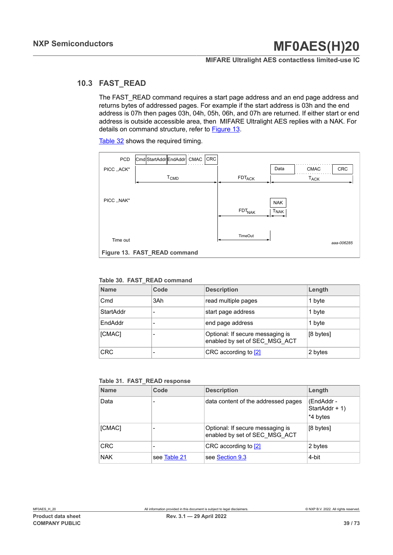### **MIFARE Ultralight AES contactless limited-use IC**

## **10.3 FAST\_READ**

The FAST\_READ command requires a start page address and an end page address and returns bytes of addressed pages. For example if the start address is 03h and the end address is 07h then pages 03h, 04h, 05h, 06h, and 07h are returned. If either start or end address is outside accessible area, then MIFARE Ultralight AES replies with a NAK. For details on command structure, refer to [Figure 13](#page-38-0).

[Table](#page-39-0) 32 shows the required timing.

<span id="page-38-0"></span>

| PCD          | Cmd StartAddr EndAddr        |                        | CMAC · | <b>CRC</b> |                               |                                |             |            |
|--------------|------------------------------|------------------------|--------|------------|-------------------------------|--------------------------------|-------------|------------|
| PICC, , ACK" |                              |                        |        |            |                               | Data                           | <b>CMAC</b> | CRC        |
|              |                              | <b>T<sub>CMD</sub></b> |        |            | $\mathsf{FDT}_{\mathsf{ACK}}$ |                                | <b>TACK</b> |            |
| PICC, , NAK" |                              |                        |        |            | <b>FDT<sub>NAK</sub></b>      | <b>NAK</b><br>T <sub>NAK</sub> |             |            |
| Time out     |                              |                        |        |            | <b>TimeOut</b>                |                                |             | aaa-006285 |
|              | Figure 13. FAST_READ command |                        |        |            |                               |                                |             |            |

#### <span id="page-38-1"></span>**Table 30. FAST\_READ command**

| <b>Name</b>     | Code | <b>Description</b>                                                | Length    |
|-----------------|------|-------------------------------------------------------------------|-----------|
| C <sub>md</sub> | 3Ah  | read multiple pages                                               | 1 byte    |
| StartAddr       | -    | start page address                                                | 1 byte    |
| EndAddr         |      | end page address                                                  | 1 byte    |
| [CMAC]          |      | Optional: If secure messaging is<br>enabled by set of SEC MSG ACT | [8 bytes] |
| <b>CRC</b>      | -    | CRC according to [2]                                              | 2 bytes   |

<span id="page-38-2"></span>**Table 31. FAST\_READ response**

| <b>Name</b> | Code                     | <b>Description</b>                                                | Length                                   |
|-------------|--------------------------|-------------------------------------------------------------------|------------------------------------------|
| Data        |                          | data content of the addressed pages                               | (EndAddr -<br>StartAddr + 1)<br>*4 bytes |
| [CMAC]      |                          | Optional: If secure messaging is<br>enabled by set of SEC MSG ACT | [8 bytes]                                |
| <b>CRC</b>  | $\overline{\phantom{a}}$ | CRC according to [2]                                              | 2 bytes                                  |
| <b>NAK</b>  | see Table 21             | see Section 9.3                                                   | 4-bit                                    |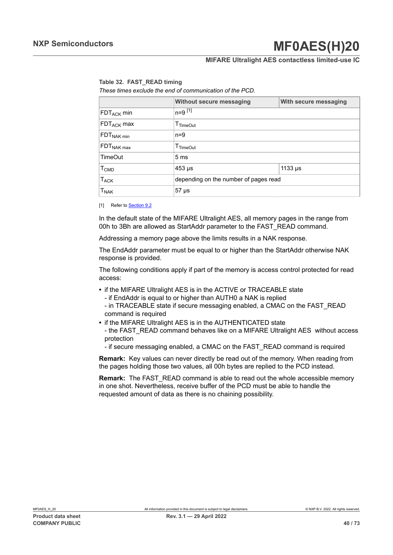### **MIFARE Ultralight AES contactless limited-use IC**

<span id="page-39-0"></span>**Table 32. FAST\_READ timing**

*These times exclude the end of communication of the PCD.*

|                                   | <b>Without secure messaging</b>       | With secure messaging |  |  |
|-----------------------------------|---------------------------------------|-----------------------|--|--|
| FDT <sub>ACK</sub> min            | $n = 9$ [1]                           |                       |  |  |
| FDT <sub>ACK</sub> max            | T <sub>TimeOut</sub>                  |                       |  |  |
| $\mathsf{FDT}_{\mathsf{NAK}\min}$ | $n=9$                                 |                       |  |  |
| $\mathsf{FDT}_{\mathsf{NAK}}$ max | $T_{TimeOut}$                         |                       |  |  |
| TimeOut                           | 5 <sub>ms</sub>                       |                       |  |  |
| $\mathsf{T}_{\mathsf{CMD}}$       | $453 \mu s$                           | 1133 $\mu$ s          |  |  |
| $\mathsf{T}_{\mathsf{ACK}}$       | depending on the number of pages read |                       |  |  |
| $T_{\sf NAK}$                     | $57 \,\mathrm{\mu s}$                 |                       |  |  |

[1] Refer to [Section 9.2](#page-31-0)

In the default state of the MIFARE Ultralight AES, all memory pages in the range from 00h to 3Bh are allowed as StartAddr parameter to the FAST\_READ command.

Addressing a memory page above the limits results in a NAK response.

The EndAddr parameter must be equal to or higher than the StartAddr otherwise NAK response is provided.

The following conditions apply if part of the memory is access control protected for read access:

- **•** if the MIFARE Ultralight AES is in the ACTIVE or TRACEABLE state
	- if EndAddr is equal to or higher than AUTH0 a NAK is replied
	- in TRACEABLE state if secure messaging enabled, a CMAC on the FAST\_READ command is required
- **•** if the MIFARE Ultralight AES is in the AUTHENTICATED state

- the FAST\_READ command behaves like on a MIFARE Ultralight AES without access protection

- if secure messaging enabled, a CMAC on the FAST\_READ command is required

**Remark:** Key values can never directly be read out of the memory. When reading from the pages holding those two values, all 00h bytes are replied to the PCD instead.

**Remark:** The FAST\_READ command is able to read out the whole accessible memory in one shot. Nevertheless, receive buffer of the PCD must be able to handle the requested amount of data as there is no chaining possibility.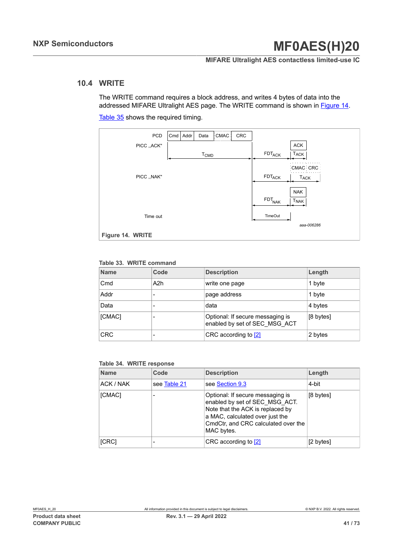### **MIFARE Ultralight AES contactless limited-use IC**

### **10.4 WRITE**

The WRITE command requires a block address, and writes 4 bytes of data into the addressed MIFARE Ultralight AES page. The WRITE command is shown in [Figure 14](#page-40-0).

[Table](#page-41-0) 35 shows the required timing.

<span id="page-40-0"></span>

#### <span id="page-40-1"></span>**Table 33. WRITE command**

| <b>Name</b> | Code | <b>Description</b>                                                | Length    |
|-------------|------|-------------------------------------------------------------------|-----------|
| Cmd         | A2h  | write one page                                                    | 1 byte    |
| Addr        |      | page address                                                      | 1 byte    |
| Data        |      | data                                                              | 4 bytes   |
| [CMAC]      |      | Optional: If secure messaging is<br>enabled by set of SEC MSG ACT | [8 bytes] |
| <b>CRC</b>  |      | CRC according to [2]                                              | 2 bytes   |

#### <span id="page-40-2"></span>**Table 34. WRITE response**

| <b>Name</b> | Code         | <b>Description</b>                                                                                                                                                                             | Length    |
|-------------|--------------|------------------------------------------------------------------------------------------------------------------------------------------------------------------------------------------------|-----------|
| ACK / NAK   | see Table 21 | see Section 9.3                                                                                                                                                                                | 4-bit     |
| [CMAC]      |              | Optional: If secure messaging is<br>enabled by set of SEC MSG ACT.<br>Note that the ACK is replaced by<br>a MAC, calculated over just the<br>CmdCtr, and CRC calculated over the<br>MAC bytes. | [8 bytes] |
| [CRC]       |              | CRC according to [2]                                                                                                                                                                           | [2 bytes] |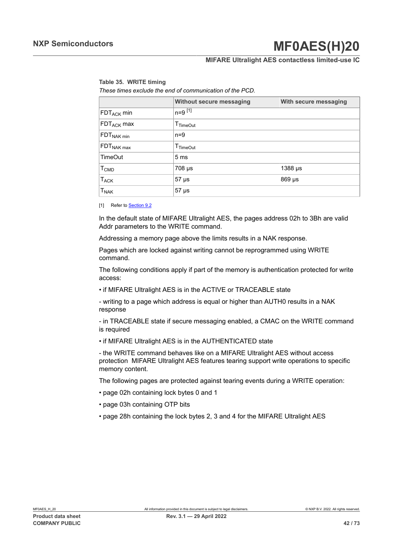### **MIFARE Ultralight AES contactless limited-use IC**

# <span id="page-41-0"></span>**Table 35. WRITE timing**

*These times exclude the end of communication of the PCD.*

|                        | Without secure messaging        | With secure messaging |  |  |  |
|------------------------|---------------------------------|-----------------------|--|--|--|
| $FDT_{ACK}$ min        | $n = 9$ [1]                     |                       |  |  |  |
| $FDT_{ACK}$ max        | $T_{TimeOut}$                   |                       |  |  |  |
| FDT <sub>NAK min</sub> | $n=9$                           |                       |  |  |  |
| $FDT_{NAK max}$        | $\mathsf{T}_{\mathsf{TimeOut}}$ |                       |  |  |  |
| <b>TimeOut</b>         | 5 <sub>ms</sub>                 |                       |  |  |  |
| T <sub>CMD</sub>       | $708 \mu s$                     | $1388 \,\mu s$        |  |  |  |
| $T_{ACK}$              | $57 \,\mathrm{\mu s}$           | 869 µs                |  |  |  |
| $T_{\sf NAK}$          | $57 \,\mathrm{\mu s}$           |                       |  |  |  |

[1] Refer to **[Section 9.2](#page-31-0)** 

In the default state of MIFARE Ultralight AES, the pages address 02h to 3Bh are valid Addr parameters to the WRITE command.

Addressing a memory page above the limits results in a NAK response.

Pages which are locked against writing cannot be reprogrammed using WRITE command.

The following conditions apply if part of the memory is authentication protected for write access:

• if MIFARE Ultralight AES is in the ACTIVE or TRACEABLE state

- writing to a page which address is equal or higher than AUTH0 results in a NAK response

- in TRACEABLE state if secure messaging enabled, a CMAC on the WRITE command is required

• if MIFARE Ultralight AES is in the AUTHENTICATED state

- the WRITE command behaves like on a MIFARE Ultralight AES without access protection MIFARE Ultralight AES features tearing support write operations to specific memory content.

The following pages are protected against tearing events during a WRITE operation:

- page 02h containing lock bytes 0 and 1
- page 03h containing OTP bits
- page 28h containing the lock bytes 2, 3 and 4 for the MIFARE Ultralight AES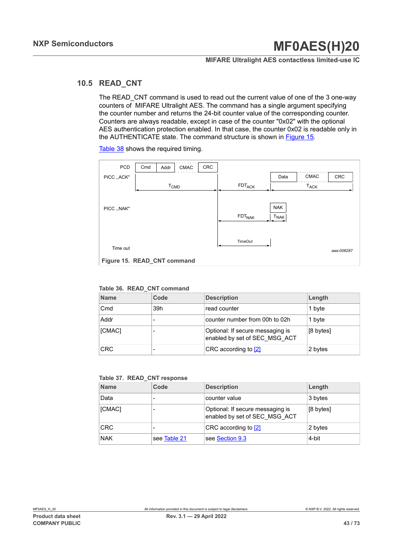### **MIFARE Ultralight AES contactless limited-use IC**

## **10.5 READ\_CNT**

The READ CNT command is used to read out the current value of one of the 3 one-way counters of MIFARE Ultralight AES. The command has a single argument specifying the counter number and returns the 24-bit counter value of the corresponding counter. Counters are always readable, except in case of the counter "0x02" with the optional AES authentication protection enabled. In that case, the counter 0x02 is readable only in the AUTHENTICATE state. The command structure is shown in [Figure 15](#page-42-0).

<span id="page-42-0"></span>*aaa-006287* CRC CRC PCD | Cmd | Addr PICC ,,ACK'' | Data PICC ,,NAK'' NAK Time out TimeOut FDT<sub>NAK</sub> CMAC CMAC T<sub>CMD</sub> | FDT<sub>ACK</sub> | T<sub>ACK</sub> **T<sub>NAK</sub> Figure 15. READ\_CNT command**

[Table](#page-43-0) 38 shows the required timing.

#### <span id="page-42-1"></span>**Table 36. READ\_CNT command**

| <b>Name</b> | Code | <b>Description</b>                                                | Length    |
|-------------|------|-------------------------------------------------------------------|-----------|
| Cmd         | 39h  | read counter                                                      | 1 byte    |
| Addr        |      | counter number from 00h to 02h                                    | 1 byte    |
| [CMAC]      |      | Optional: If secure messaging is<br>enabled by set of SEC MSG ACT | [8 bytes] |
| <b>CRC</b>  |      | CRC according to [2]                                              | 2 bytes   |

<span id="page-42-2"></span>

|  |  |  | Table 37. READ_CNT response |
|--|--|--|-----------------------------|
|--|--|--|-----------------------------|

| <b>Name</b> | Code         | <b>Description</b>                                                | Length    |
|-------------|--------------|-------------------------------------------------------------------|-----------|
| Data        |              | counter value                                                     | 3 bytes   |
| [CMAC]      |              | Optional: If secure messaging is<br>enabled by set of SEC MSG ACT | [8 bytes] |
| <b>CRC</b>  |              | CRC according to [2]                                              | 2 bytes   |
| <b>NAK</b>  | see Table 21 | see Section 9.3                                                   | 4-bit     |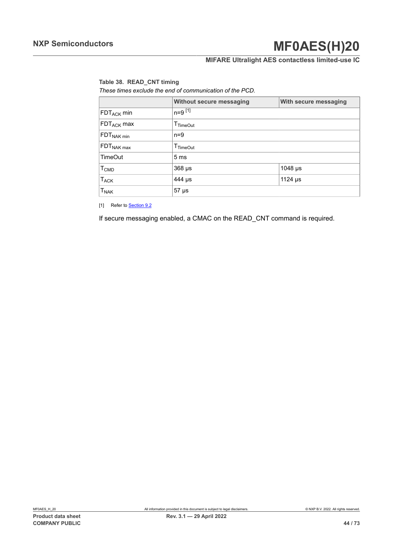## **MIFARE Ultralight AES contactless limited-use IC**

#### <span id="page-43-0"></span>**Table 38. READ\_CNT timing**

*These times exclude the end of communication of the PCD.*

|                        | <b>Without secure messaging</b> | With secure messaging |  |
|------------------------|---------------------------------|-----------------------|--|
| $FDT_{ACK}$ min        | $n=9$ [1]                       |                       |  |
| $FDT_{ACK}$ max        | $T_{TimeOut}$                   |                       |  |
| $FDT_{NAK min}$        | $n=9$                           |                       |  |
| $FDT_{NAK max}$        | T <sub>TimeOut</sub>            |                       |  |
| <b>TimeOut</b>         | 5 <sub>ms</sub>                 |                       |  |
| T <sub>CMD</sub>       | $368 \mu s$<br>1048 µs          |                       |  |
| <b>T<sub>ACK</sub></b> | 1124 $\mu$ s<br>444 µs          |                       |  |
| <b>T<sub>NAK</sub></b> | <sub>i</sub> 57 µs              |                       |  |

[1] Refer to **[Section 9.2](#page-31-0)** 

If secure messaging enabled, a CMAC on the READ\_CNT command is required.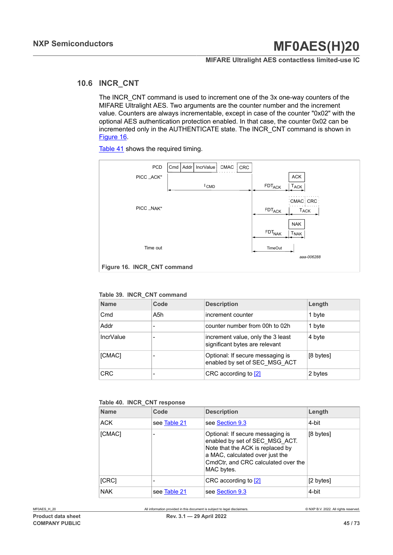### **MIFARE Ultralight AES contactless limited-use IC**

## **10.6 INCR\_CNT**

The INCR\_CNT command is used to increment one of the 3x one-way counters of the MIFARE Ultralight AES. Two arguments are the counter number and the increment value. Counters are always incrementable, except in case of the counter "0x02" with the optional AES authentication protection enabled. In that case, the counter 0x02 can be incremented only in the AUTHENTICATE state. The INCR\_CNT command is shown in [Figure 16](#page-44-0).

<span id="page-44-0"></span>*aaa-006288* PCD | Cmd | Addr | IncrValue | CMAC | CRC PICC ,,ACK'' PICC ,,NAK'' NAK Time out TimeOut **T<sub>NAK</sub> T<sub>ACK</sub>** ACK CMAC CRC T<sub>CMD</sub> FDT<sub>ACK</sub> FDT<sub>NAK</sub> FDT<sub>ACK</sub> | T<sub>ACK</sub> Figure 16. **INCR CNT command** 

[Table](#page-45-0) 41 shows the required timing.

#### <span id="page-44-1"></span>**Table 39. INCR\_CNT command**

| <b>Name</b>      | Code | <b>Description</b>                                                  | Length    |
|------------------|------|---------------------------------------------------------------------|-----------|
| Cmd              | A5h  | increment counter                                                   | 1 byte    |
| Addr             |      | counter number from 00h to 02h                                      | 1 byte    |
| <b>IncrValue</b> |      | increment value, only the 3 least<br>significant bytes are relevant | 4 byte    |
| [CMAC]           |      | Optional: If secure messaging is<br>enabled by set of SEC_MSG_ACT   | [8 bytes] |
| <b>CRC</b>       |      | CRC according to [2]                                                | 2 bytes   |

#### <span id="page-44-2"></span>**Table 40. INCR\_CNT response**

| <b>Name</b> | Code         | <b>Description</b>                                                                                                                                                                             | Length              |
|-------------|--------------|------------------------------------------------------------------------------------------------------------------------------------------------------------------------------------------------|---------------------|
| <b>ACK</b>  | see Table 21 | see Section 9.3                                                                                                                                                                                | 4-bit               |
| [CMAC]      |              | Optional: If secure messaging is<br>enabled by set of SEC MSG ACT.<br>Note that the ACK is replaced by<br>a MAC, calculated over just the<br>CmdCtr, and CRC calculated over the<br>MAC bytes. | $[8 \text{ bytes}]$ |
| [CRC]       |              | CRC according to [2]                                                                                                                                                                           | [2 bytes]           |
| <b>NAK</b>  | see Table 21 | see Section 9.3                                                                                                                                                                                | 4-bit               |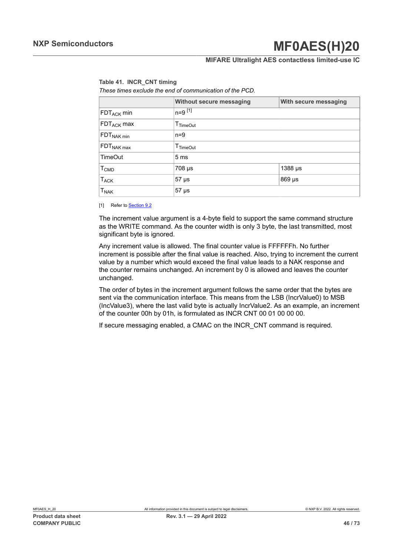### **MIFARE Ultralight AES contactless limited-use IC**

### <span id="page-45-0"></span>**Table 41. INCR\_CNT timing**

*These times exclude the end of communication of the PCD.*

|                                   | Without secure messaging        | With secure messaging |  |
|-----------------------------------|---------------------------------|-----------------------|--|
| $FDT_{ACK}$ min                   | $n=9$ [1]                       |                       |  |
| $FDT_{ACK}$ max                   | $\mathsf{T}_{\mathsf{TimeOut}}$ |                       |  |
| $FDT_{NAK min}$                   | $n=9$                           |                       |  |
| $\mathsf{FDT}_{\mathsf{NAK}}$ max | $T$ TimeOut                     |                       |  |
| <b>TimeOut</b>                    | 5 <sub>ms</sub>                 |                       |  |
| $\mathsf{T}_{\mathsf{CMD}}$       | $708 \mu s$<br>1388 µs          |                       |  |
| $T_{ACK}$                         | 869 µs<br>$57 \mu s$            |                       |  |
| $\mathsf{T}_{\mathsf{NAK}}$       | $57 \,\mathrm{\mu s}$           |                       |  |

[1] Refer to **[Section 9.2](#page-31-0)** 

The increment value argument is a 4-byte field to support the same command structure as the WRITE command. As the counter width is only 3 byte, the last transmitted, most significant byte is ignored.

Any increment value is allowed. The final counter value is FFFFFFh. No further increment is possible after the final value is reached. Also, trying to increment the current value by a number which would exceed the final value leads to a NAK response and the counter remains unchanged. An increment by 0 is allowed and leaves the counter unchanged.

The order of bytes in the increment argument follows the same order that the bytes are sent via the communication interface. This means from the LSB (IncrValue0) to MSB (IncValue3), where the last valid byte is actually IncrValue2. As an example, an increment of the counter 00h by 01h, is formulated as INCR CNT 00 01 00 00 00.

If secure messaging enabled, a CMAC on the INCR\_CNT command is required.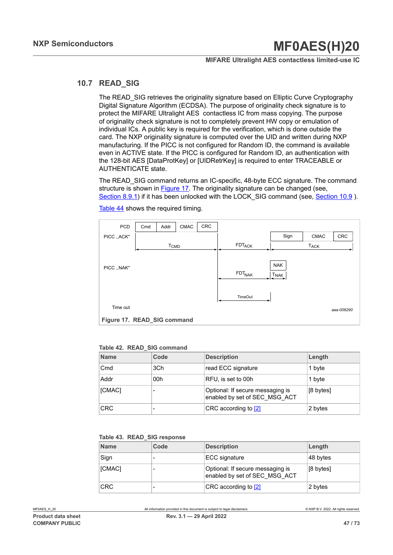#### **MIFARE Ultralight AES contactless limited-use IC**

### **10.7 READ\_SIG**

The READ\_SIG retrieves the originality signature based on Elliptic Curve Cryptography Digital Signature Algorithm (ECDSA). The purpose of originality check signature is to protect the MIFARE Ultralight AES contactless IC from mass copying. The purpose of originality check signature is not to completely prevent HW copy or emulation of individual ICs. A public key is required for the verification, which is done outside the card. The NXP originality signature is computed over the UID and written during NXP manufacturing. If the PICC is not configured for Random ID, the command is available even in ACTIVE state. If the PICC is configured for Random ID, an authentication with the 128-bit AES [DataProtKey] or [UIDRetrKey] is required to enter TRACEABLE or AUTHENTICATE state.

The READ SIG command returns an IC-specific, 48-byte ECC signature. The command structure is shown in [Figure 17](#page-46-0). The originality signature can be changed (see, [Section 8.9.1](#page-30-0)) if it has been unlocked with the LOCK SIG command (see, [Section 10.9](#page-50-0) ).

<span id="page-46-0"></span>

[Table](#page-47-0) 44 shows the required timing.

#### <span id="page-46-1"></span>**Table 42. READ\_SIG command**

| <b>Name</b> | Code | <b>Description</b>                                                | Length    |
|-------------|------|-------------------------------------------------------------------|-----------|
| Cmd         | 3Ch  | read ECC signature                                                | 1 byte    |
| Addr        | 00h  | RFU, is set to 00h                                                | 1 byte    |
| [CMAC]      |      | Optional: If secure messaging is<br>enabled by set of SEC MSG ACT | [8 bytes] |
| <b>CRC</b>  |      | CRC according to [2]                                              | 2 bytes   |

#### <span id="page-46-2"></span>**Table 43. READ\_SIG response**

| <b>Name</b> | Code | <b>Description</b>                                                | Length    |
|-------------|------|-------------------------------------------------------------------|-----------|
| Sign        |      | ECC signature                                                     | 48 bytes  |
| [CMAC]      |      | Optional: If secure messaging is<br>enabled by set of SEC MSG ACT | [8 bytes] |
| <b>CRC</b>  |      | CRC according to [2]                                              | 2 bytes   |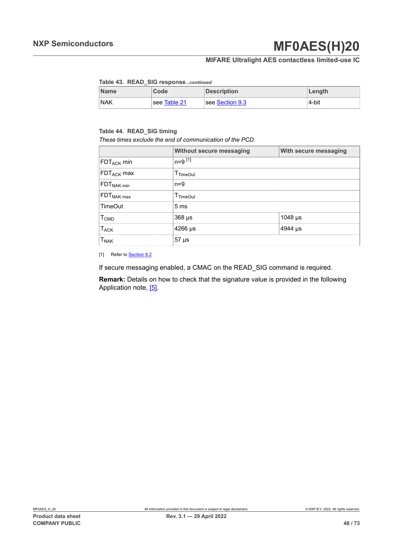### **MIFARE Ultralight AES contactless limited-use IC**

#### <span id="page-47-1"></span>**Table 43. READ\_SIG response***...continued*

| <b>Name</b> | Code         | <b>Description</b> | Length |
|-------------|--------------|--------------------|--------|
| <b>NAK</b>  | see Table 21 | see Section 9.3    | 4-bit  |

#### <span id="page-47-0"></span>**Table 44. READ\_SIG timing**

*These times exclude the end of communication of the PCD.*

|                        | <b>Without secure messaging</b>    | With secure messaging |  |  |
|------------------------|------------------------------------|-----------------------|--|--|
| $FDT_{ACK}$ min        | $n = 9$ $^{[1]}$                   |                       |  |  |
| FDT <sub>ACK</sub> max | $I$ TimeOut                        |                       |  |  |
| FDT <sub>NAK min</sub> | $n=9$                              |                       |  |  |
| FDT <sub>NAK max</sub> | $T_{TimeOut}$                      |                       |  |  |
| <b>TimeOut</b>         | 5 <sub>ms</sub>                    |                       |  |  |
| T <sub>CMD</sub>       | $368 \mu s$<br>1048 µs             |                       |  |  |
| $T_{ACK}$              | $4266 \,\mathrm{\mu s}$<br>4944 µs |                       |  |  |
| <b>TNAK</b>            | $57 \mu s$                         |                       |  |  |

[1] Refer to **[Section 9.2](#page-31-0)** 

If secure messaging enabled, a CMAC on the READ\_SIG command is required.

**Remark:** Details on how to check that the signature value is provided in the following Application note, [\[5\].](#page-65-1)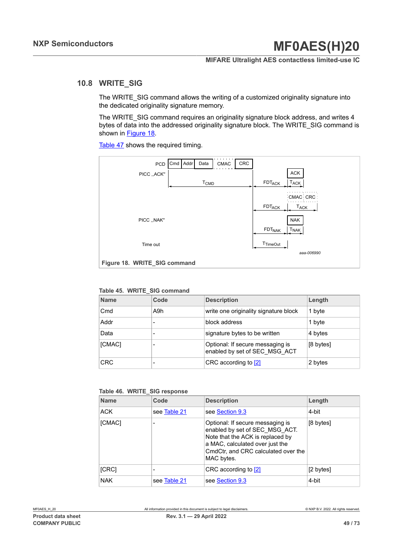#### **MIFARE Ultralight AES contactless limited-use IC**

# **10.8 WRITE\_SIG**

The WRITE\_SIG command allows the writing of a customized originality signature into the dedicated originality signature memory.

The WRITE\_SIG command requires an originality signature block address, and writes 4 bytes of data into the addressed originality signature block. The WRITE\_SIG command is shown in [Figure 18](#page-48-0).

[Table](#page-49-0) 47 shows the required timing.

<span id="page-48-0"></span>

<span id="page-48-1"></span>**Table 45. WRITE\_SIG command**

| <b>Name</b> | Code | <b>Description</b>                                                | Length    |
|-------------|------|-------------------------------------------------------------------|-----------|
| Cmd         | A9h  | write one originality signature block                             | 1 byte    |
| Addr        |      | block address                                                     | 1 byte    |
| Data        |      | signature bytes to be written                                     | 4 bytes   |
| [CMAC]      |      | Optional: If secure messaging is<br>enabled by set of SEC MSG ACT | [8 bytes] |
| <b>CRC</b>  |      | CRC according to [2]                                              | 2 bytes   |

<span id="page-48-2"></span>

|  |  |  | Table 46. WRITE_SIG response |
|--|--|--|------------------------------|
|--|--|--|------------------------------|

| <b>Name</b> | Code         | <b>Description</b>                                                                                                                                                                             | Length    |
|-------------|--------------|------------------------------------------------------------------------------------------------------------------------------------------------------------------------------------------------|-----------|
| <b>ACK</b>  | see Table 21 | see Section 9.3                                                                                                                                                                                | 4-bit     |
| [CMAC]      |              | Optional: If secure messaging is<br>enabled by set of SEC MSG ACT.<br>Note that the ACK is replaced by<br>a MAC, calculated over just the<br>CmdCtr, and CRC calculated over the<br>MAC bytes. | [8 bytes] |
| [CRC]       |              | CRC according to [2]                                                                                                                                                                           | [2 bytes] |
| <b>NAK</b>  | see Table 21 | see Section 9.3                                                                                                                                                                                | 4-bit     |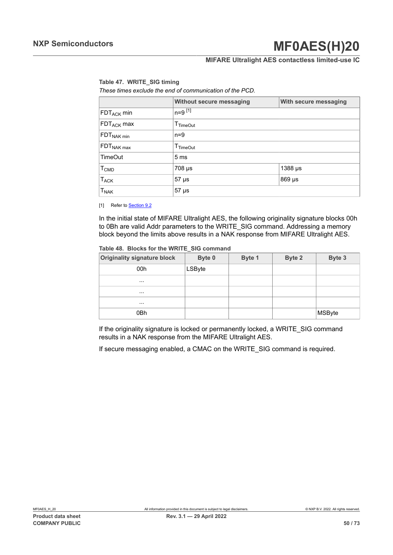### **MIFARE Ultralight AES contactless limited-use IC**

#### <span id="page-49-0"></span>**Table 47. WRITE\_SIG timing**

*These times exclude the end of communication of the PCD.*

|                                   | <b>Without secure messaging</b> | With secure messaging |  |  |
|-----------------------------------|---------------------------------|-----------------------|--|--|
| $\mathsf{FDT}_{\mathsf{ACK}}$ min | $n=9$ [1]                       |                       |  |  |
| FDT <sub>ACK</sub> max            | $T_{TimeOut}$                   |                       |  |  |
| $FDT_{NAK min}$                   | $n=9$                           |                       |  |  |
| $\mathsf{FDT}_{\mathsf{NAK}}$ max | $T_{TimeOut}$                   |                       |  |  |
| <b>TimeOut</b>                    | 5 <sub>ms</sub>                 |                       |  |  |
| $T_{\mathsf{CMD}}$                | $708 \mu s$                     | $1388 \,\mu s$        |  |  |
| $T_{ACK}$                         | 57 µs<br>869 µs                 |                       |  |  |
| $\mathsf{T}_{\mathsf{NAK}}$       | $57 \mu s$                      |                       |  |  |

[1] Refer to **[Section 9.2](#page-31-0)** 

In the initial state of MIFARE Ultralight AES, the following originality signature blocks 00h to 0Bh are valid Addr parameters to the WRITE\_SIG command. Addressing a memory block beyond the limits above results in a NAK response from MIFARE Ultralight AES.

<span id="page-49-1"></span>**Table 48. Blocks for the WRITE\_SIG command**

| <b>Originality signature block</b> | Byte 0 | Byte 1 | Byte 2 | Byte 3 |
|------------------------------------|--------|--------|--------|--------|
| 00h                                | LSByte |        |        |        |
| $\cdots$                           |        |        |        |        |
| $\cdots$                           |        |        |        |        |
| $\cdots$                           |        |        |        |        |
| 0Bh                                |        |        |        | MSByte |

If the originality signature is locked or permanently locked, a WRITE\_SIG command results in a NAK response from the MIFARE Ultralight AES.

If secure messaging enabled, a CMAC on the WRITE\_SIG command is required.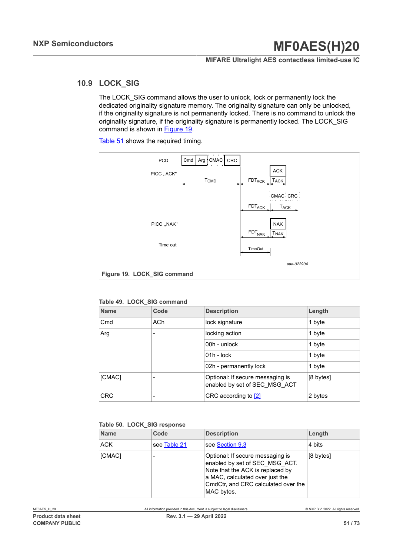### **MIFARE Ultralight AES contactless limited-use IC**

## **10.9 LOCK\_SIG**

<span id="page-50-0"></span>The LOCK SIG command allows the user to unlock, lock or permanently lock the dedicated originality signature memory. The originality signature can only be unlocked, if the originality signature is not permanently locked. There is no command to unlock the originality signature, if the originality signature is permanently locked. The LOCK\_SIG command is shown in [Figure 19](#page-50-1).

[Table](#page-51-0) 51 shows the required timing.

<span id="page-50-1"></span>

<span id="page-50-2"></span>**Table 49. LOCK\_SIG command**

| <b>Name</b>     | Code | <b>Description</b>                                                | Length    |
|-----------------|------|-------------------------------------------------------------------|-----------|
| C <sub>md</sub> | ACh  | lock signature                                                    | 1 byte    |
| Arg             |      | locking action                                                    | 1 byte    |
|                 |      | 00h - unlock                                                      | 1 byte    |
|                 |      | $01h - lock$                                                      | 1 byte    |
|                 |      | 02h - permanently lock                                            | 1 byte    |
| [CMAC]          |      | Optional: If secure messaging is<br>enabled by set of SEC MSG ACT | [8 bytes] |
| <b>CRC</b>      |      | CRC according to [2]                                              | 2 bytes   |

#### <span id="page-50-3"></span>**Table 50. LOCK\_SIG response**

| <b>Name</b> | Code         | <b>Description</b>                                                                                                                                                                             | Length    |
|-------------|--------------|------------------------------------------------------------------------------------------------------------------------------------------------------------------------------------------------|-----------|
| ACK         | see Table 21 | see Section 9.3                                                                                                                                                                                | 4 bits    |
| [CMAC]      |              | Optional: If secure messaging is<br>enabled by set of SEC MSG ACT.<br>Note that the ACK is replaced by<br>a MAC, calculated over just the<br>CmdCtr, and CRC calculated over the<br>MAC bytes. | [8 bytes] |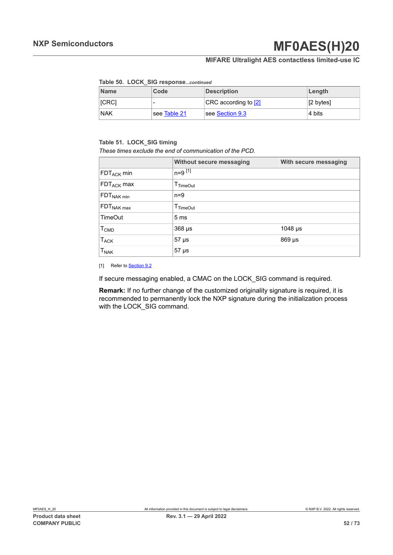### **MIFARE Ultralight AES contactless limited-use IC**

#### <span id="page-51-1"></span>**Table 50. LOCK\_SIG response***...continued*

| <b>Name</b>  | Code         | <b>Description</b>   | Length    |
|--------------|--------------|----------------------|-----------|
| <b>ICRCI</b> | -            | CRC according to [2] | [2 bytes] |
| <b>NAK</b>   | see Table 21 | see Section 9.3      | 4 bits    |

#### <span id="page-51-0"></span>**Table 51. LOCK\_SIG timing**

*These times exclude the end of communication of the PCD.*

|                        | Without secure messaging<br>With secure messaging |         |  |  |
|------------------------|---------------------------------------------------|---------|--|--|
| FDT <sub>ACK</sub> min | $n=9$ [1]                                         |         |  |  |
| FDT <sub>ACK</sub> max | $\mathsf{T}_{\mathsf{TimeOut}}$                   |         |  |  |
| FDT <sub>NAK min</sub> | $n=9$                                             |         |  |  |
| FDT <sub>NAK max</sub> | $T$ TimeOut                                       |         |  |  |
| <b>TimeOut</b>         | 5 <sub>ms</sub>                                   |         |  |  |
| <b>T<sub>CMD</sub></b> | $368 \mu s$                                       | 1048 µs |  |  |
| <b>TACK</b>            | $869$ µs<br>$57 \mu s$                            |         |  |  |
| <b>T<sub>NAK</sub></b> | $57 \mu s$                                        |         |  |  |

[1] Refer to **[Section 9.2](#page-31-0)** 

If secure messaging enabled, a CMAC on the LOCK SIG command is required.

**Remark:** If no further change of the customized originality signature is required, it is recommended to permanently lock the NXP signature during the initialization process with the LOCK SIG command.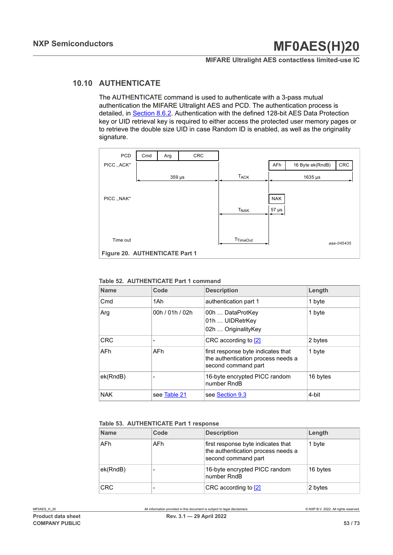#### **MIFARE Ultralight AES contactless limited-use IC**

### **10.10 AUTHENTICATE**

The AUTHENTICATE command is used to authenticate with a 3-pass mutual authentication the MIFARE Ultralight AES and PCD. The authentication process is detailed, in **Section 8.6.2.** Authentication with the defined 128-bit AES Data Protection key or UID retrieval key is required to either access the protected user memory pages or to retrieve the double size UID in case Random ID is enabled, as well as the originality signature.

<span id="page-52-2"></span>

#### <span id="page-52-0"></span>**Table 52. AUTHENTICATE Part 1 command**

| <b>Name</b> | Code            | <b>Description</b>                                                                              | Length   |  |
|-------------|-----------------|-------------------------------------------------------------------------------------------------|----------|--|
| Cmd         | 1Ah             | authentication part 1                                                                           | 1 byte   |  |
| Arg         | 00h / 01h / 02h | 00h  DataProtKey<br>01h  UIDRetrKey<br>02h  OriginalityKey                                      | 1 byte   |  |
| <b>CRC</b>  |                 | CRC according to [2]                                                                            | 2 bytes  |  |
| <b>AFh</b>  | AFh.            | first response byte indicates that<br>the authentication process needs a<br>second command part | 1 byte   |  |
| ek(RndB)    |                 | 16-byte encrypted PICC random<br>number RndB                                                    | 16 bytes |  |
| <b>NAK</b>  | see Table 21    | see Section 9.3                                                                                 | 4-bit    |  |

#### <span id="page-52-1"></span>**Table 53. AUTHENTICATE Part 1 response**

| <b>Name</b> | Code | <b>Description</b>                                                                              | Length   |
|-------------|------|-------------------------------------------------------------------------------------------------|----------|
| AFh         | AFh. | first response byte indicates that<br>the authentication process needs a<br>second command part | 1 byte   |
| ek(RndB)    |      | 16-byte encrypted PICC random<br>number RndB                                                    | 16 bytes |
| <b>CRC</b>  |      | CRC according to [2]                                                                            | 2 bytes  |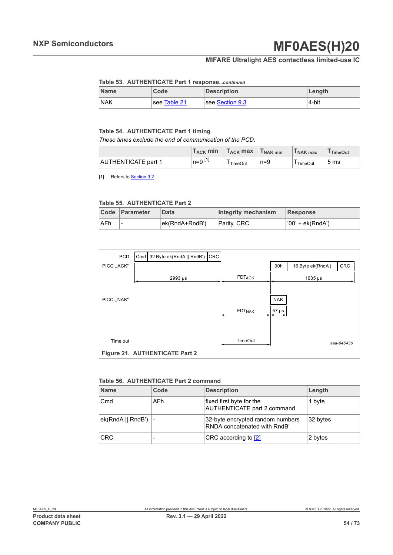## **MIFARE Ultralight AES contactless limited-use IC**

#### <span id="page-53-0"></span>**Table 53. AUTHENTICATE Part 1 response***...continued*

| <b>Name</b> | Code         | <b>Description</b> | Length |
|-------------|--------------|--------------------|--------|
| <b>NAK</b>  | see Table 21 | see Section 9.3    | 4-bit  |

#### <span id="page-53-1"></span>**Table 54. AUTHENTICATE Part 1 timing**

*These times exclude the end of communication of the PCD.*

|                            | $T_{ACK}$ min | $T_{\rm ACK}$ max | I NAK min | I NAK max | <sup>I</sup> TimeOut |
|----------------------------|---------------|-------------------|-----------|-----------|----------------------|
| <b>AUTHENTICATE part 1</b> |               | TimeOut           | $n = 9$   | TimeOut   | 5 <sub>ms</sub>      |

[1] Refers to **Section 9.2** 

#### <span id="page-53-2"></span>**Table 55. AUTHENTICATE Part 2**

|      | Code Parameter | <b>Data</b>    | Integrity mechanism | Response         |
|------|----------------|----------------|---------------------|------------------|
| ∣AFh |                | ek(RndA+RndB') | Parity, CRC         | '00' + ek(RndA') |

<span id="page-53-4"></span>

| PCD          | Cmd 32 Byte ek(RndA    RndB') CRC |                    |            |                   |            |
|--------------|-----------------------------------|--------------------|------------|-------------------|------------|
| PICC ,, ACK" |                                   |                    | 00h        | 16 Byte ek(RndA') | <b>CRC</b> |
|              | 2993 µs                           | <b>FDTACK</b>      |            | $1635 \,\mu s$    |            |
|              |                                   |                    |            |                   |            |
| PICC  NAK"   |                                   |                    | <b>NAK</b> |                   |            |
|              |                                   | FDT <sub>NAK</sub> | $57 \mu s$ |                   |            |
|              |                                   |                    |            |                   |            |
| Time out     |                                   | TimeOut            |            |                   | aaa-045436 |
|              | Figure 21. AUTHENTICATE Part 2    |                    |            |                   |            |

#### <span id="page-53-3"></span>**Table 56. AUTHENTICATE Part 2 command**

| <b>Name</b>            | Code | <b>Description</b>                                               | Length   |  |  |
|------------------------|------|------------------------------------------------------------------|----------|--|--|
| C <sub>md</sub>        | AFh. | fixed first byte for the<br>AUTHENTICATE part 2 command          | 1 byte   |  |  |
| $ek(RndA    RndB')$  - |      | 32-byte encrypted random numbers<br>RNDA concatenated with RndB' | 32 bytes |  |  |
| <b>CRC</b>             |      | CRC according to [2]                                             | 2 bytes  |  |  |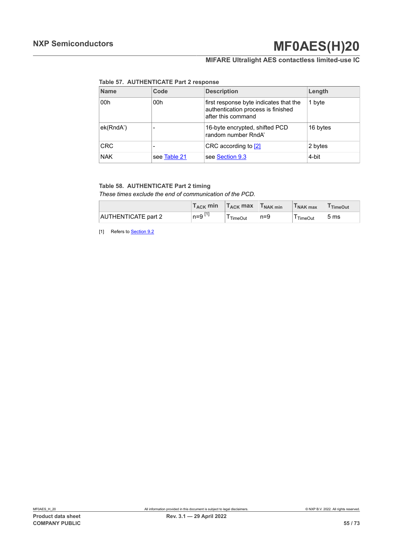# **MIFARE Ultralight AES contactless limited-use IC**

<span id="page-54-0"></span>**Table 57. AUTHENTICATE Part 2 response**

| <b>Name</b> | Code         | <b>Description</b>                                                                                 | Length   |
|-------------|--------------|----------------------------------------------------------------------------------------------------|----------|
| 00h         | 00h          | first response byte indicates that the<br>authentication process is finished<br>after this command | 1 byte   |
| ek(RndA')   |              | 16-byte encrypted, shifted PCD<br>random number RndA'                                              | 16 bytes |
| <b>CRC</b>  |              | CRC according to [2]                                                                               | 2 bytes  |
| <b>NAK</b>  | see Table 21 | see Section 9.3                                                                                    | 4-bit    |

#### <span id="page-54-1"></span>**Table 58. AUTHENTICATE Part 2 timing**

*These times exclude the end of communication of the PCD.*

|                     | $\mathsf{T}_{\mathsf{ACK}}$ min | $T_{ACK}$ max  | T <sub>NAK min</sub> | I NAK max      | <sup>1</sup> TimeOut |
|---------------------|---------------------------------|----------------|----------------------|----------------|----------------------|
| AUTHENTICATE part 2 | n=9[1]                          | <b>TimeOut</b> | $n=9$                | <b>TimeOut</b> | 5 <sub>ms</sub>      |

[1] Refers to **Section 9.2**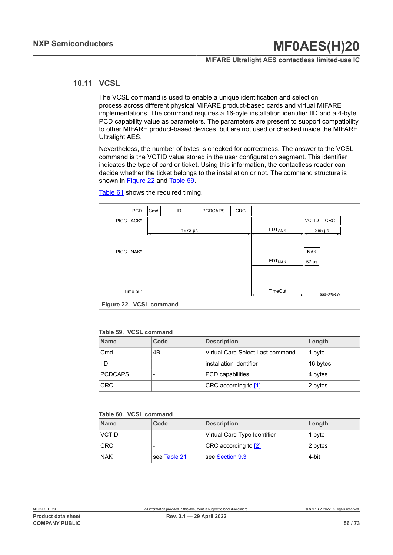#### **MIFARE Ultralight AES contactless limited-use IC**

### **10.11 VCSL**

The VCSL command is used to enable a unique identification and selection process across different physical MIFARE product-based cards and virtual MIFARE implementations. The command requires a 16-byte installation identifier IID and a 4-byte PCD capability value as parameters. The parameters are present to support compatibility to other MIFARE product-based devices, but are not used or checked inside the MIFARE Ultralight AES.

Nevertheless, the number of bytes is checked for correctness. The answer to the VCSL command is the VCTID value stored in the user configuration segment. This identifier indicates the type of card or ticket. Using this information, the contactless reader can decide whether the ticket belongs to the installation or not. The command structure is shown in [Figure 22](#page-55-0) and [Table](#page-55-1) 59.

[Table](#page-56-0) 61 shows the required timing.

<span id="page-55-0"></span>

<span id="page-55-1"></span>

| <b>Name</b>    | Code | <b>Description</b>               | Length   |
|----------------|------|----------------------------------|----------|
| Cmd            | 4B   | Virtual Card Select Last command | 1 byte   |
| IID            |      | installation identifier          | 16 bytes |
| <b>PCDCAPS</b> |      | <b>PCD</b> capabilities          | 4 bytes  |
| <b>CRC</b>     |      | CRC according to [1]             | 2 bytes  |

#### <span id="page-55-2"></span>**Table 60. VCSL command**

| <b>Name</b>  | Code         | <b>Description</b>           | Length  |
|--------------|--------------|------------------------------|---------|
| <b>VCTID</b> | -            | Virtual Card Type Identifier | 1 byte  |
| <b>CRC</b>   | -            | CRC according to [2]         | 2 bytes |
| <b>NAK</b>   | see Table 21 | see Section 9.3              | 4-bit   |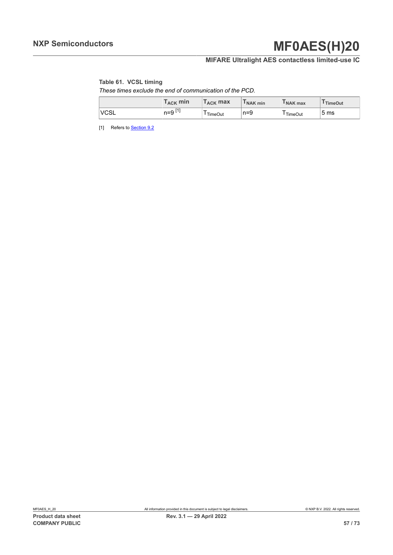# **MIFARE Ultralight AES contactless limited-use IC**

### <span id="page-56-0"></span>**Table 61. VCSL timing**

*These times exclude the end of communication of the PCD.*

|             | $\mathsf{T}_{\mathsf{ACK}}$ min | $T_{\mathsf{ACK}}$ max | I NAK min | I NAK max      | <sup>I</sup> TimeOut |
|-------------|---------------------------------|------------------------|-----------|----------------|----------------------|
| <b>VCSL</b> | $n = 9$ $11$                    | TimeOut                | $n=9$     | <b>TimeOut</b> | 5 <sub>ms</sub>      |

[1] Refers to **Section 9.2**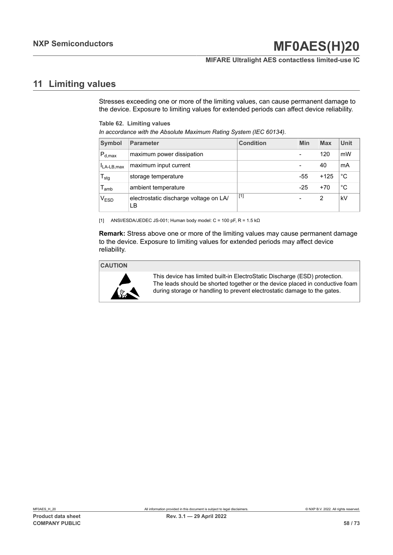#### **MIFARE Ultralight AES contactless limited-use IC**

## **11 Limiting values**

<span id="page-57-0"></span>Stresses exceeding one or more of the limiting values, can cause permanent damage to the device. Exposure to limiting values for extended periods can affect device reliability.

<span id="page-57-1"></span>**Table 62. Limiting values**

| In accordance with the Absolute Maximum Rating System (IEC 60134). |  |  |  |  |  |
|--------------------------------------------------------------------|--|--|--|--|--|
|                                                                    |  |  |  |  |  |

| Symbol                    | <b>Parameter</b>                             | <b>Condition</b> | Min                      | <b>Max</b> | Unit |
|---------------------------|----------------------------------------------|------------------|--------------------------|------------|------|
| $P_{d,max}$               | maximum power dissipation                    |                  | $\overline{\phantom{0}}$ | 120        | mW   |
| $I_{LA-LB,max}$           | maximum input current                        |                  | $\overline{\phantom{0}}$ | 40         | mA   |
| $\mathsf{T}_{\text{stg}}$ | storage temperature                          |                  | $-55$                    | $+125$     | °C   |
| l <sub>amb</sub>          | ambient temperature                          |                  | $-25$                    | $+70$      | °C   |
| $\rm V_{ESD}$             | electrostatic discharge voltage on LA/<br>LВ | $[1]$            | -                        | 2          | kV   |

[1] ANSI/ESDA/JEDEC JS-001; Human body model:  $C = 100$  pF,  $R = 1.5$  k $\Omega$ 

**Remark:** Stress above one or more of the limiting values may cause permanent damage to the device. Exposure to limiting values for extended periods may affect device reliability.

#### **CAUTION**



This device has limited built-in ElectroStatic Discharge (ESD) protection. The leads should be shorted together or the device placed in conductive foam during storage or handling to prevent electrostatic damage to the gates.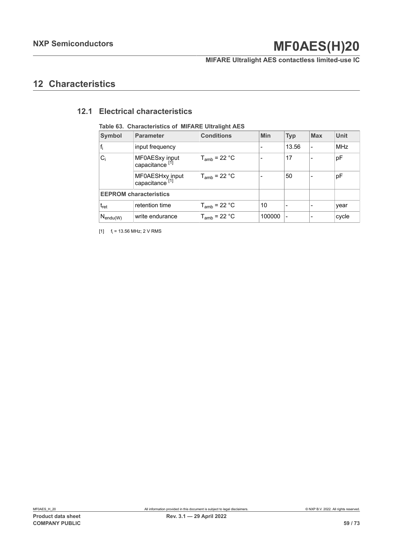**MIFARE Ultralight AES contactless limited-use IC**

## **12 Characteristics**

### <span id="page-58-0"></span>**12.1 Electrical characteristics**

| <b>Symbol</b>                 | <b>Parameter</b>                              | <b>Conditions</b> | <b>Min</b> | <b>Typ</b>               | <b>Max</b>               | <b>Unit</b> |
|-------------------------------|-----------------------------------------------|-------------------|------------|--------------------------|--------------------------|-------------|
| $f_i$                         | input frequency                               |                   |            | 13.56                    |                          | <b>MHz</b>  |
| $C_i$                         | MF0AESxy input<br>capacitance <sup>[1]</sup>  | $T_{amb}$ = 22 °C |            | 17                       |                          | pF          |
|                               | MF0AESHxy input<br>capacitance <sup>[1]</sup> | $T_{amb}$ = 22 °C |            | 50                       |                          | pF          |
| <b>EEPROM characteristics</b> |                                               |                   |            |                          |                          |             |
| $t_{\sf ret}$                 | retention time                                | $T_{amb}$ = 22 °C | 10         |                          |                          | year        |
| $N_{\mathsf{endu}(W)}$        | write endurance                               | $T_{amb}$ = 22 °C | 100000     | $\overline{\phantom{a}}$ | $\overline{\phantom{0}}$ | cycle       |

#### <span id="page-58-1"></span>**Table 63. Characteristics of MIFARE Ultralight AES**

 $[1]$  f<sub>i</sub> = 13.56 MHz; 2 V RMS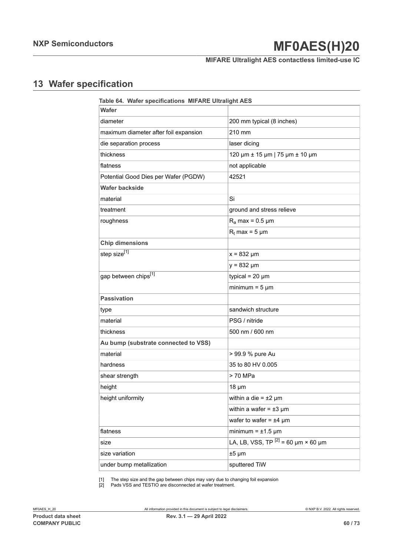## **MIFARE Ultralight AES contactless limited-use IC**

# **13 Wafer specification**

<span id="page-59-2"></span><span id="page-59-1"></span><span id="page-59-0"></span>

| Table 64. Wafer specifications MIFARE Ultralight AES |                                          |  |  |
|------------------------------------------------------|------------------------------------------|--|--|
| Wafer                                                |                                          |  |  |
| diameter                                             | 200 mm typical (8 inches)                |  |  |
| maximum diameter after foil expansion                | 210 mm                                   |  |  |
| die separation process                               | laser dicing                             |  |  |
| thickness                                            | 120 µm ± 15 µm   75 µm ± 10 µm           |  |  |
| flatness                                             | not applicable                           |  |  |
| Potential Good Dies per Wafer (PGDW)                 | 42521                                    |  |  |
| <b>Wafer backside</b>                                |                                          |  |  |
| material                                             | Si                                       |  |  |
| treatment                                            | ground and stress relieve                |  |  |
| roughness                                            | $R_a$ max = 0.5 µm                       |  |  |
|                                                      | $R_t$ max = 5 µm                         |  |  |
| <b>Chip dimensions</b>                               |                                          |  |  |
| step size <sup>[1]</sup>                             | $x = 832 \mu m$                          |  |  |
|                                                      | $y = 832 \mu m$                          |  |  |
| gap between chips <sup>[1]</sup>                     | typical = $20 \mu m$                     |  |  |
|                                                      | minimum = $5 \mu m$                      |  |  |
| <b>Passivation</b>                                   |                                          |  |  |
| type                                                 | sandwich structure                       |  |  |
| material                                             | PSG / nitride                            |  |  |
| thickness                                            | 500 nm / 600 nm                          |  |  |
| Au bump (substrate connected to VSS)                 |                                          |  |  |
| material                                             | > 99.9 % pure Au                         |  |  |
| hardness                                             | 35 to 80 HV 0.005                        |  |  |
| shear strength                                       | > 70 MPa                                 |  |  |
| height                                               | $18 \mu m$                               |  |  |
| height uniformity                                    | within a die = $\pm 2 \mu m$             |  |  |
|                                                      | within a wafer = $\pm 3 \mu m$           |  |  |
|                                                      | wafer to wafer = $±4 \mu m$              |  |  |
| flatness                                             | minimum = $\pm$ 1.5 µm                   |  |  |
| size                                                 | LA, LB, VSS, TP $^{[2]}$ = 60 µm × 60 µm |  |  |
| size variation                                       | $±5 \mu m$                               |  |  |
| under bump metallization                             | sputtered TiW                            |  |  |

[1] The step size and the gap between chips may vary due to changing foil expansion

[2] Pads VSS and TESTIO are disconnected at wafer treatment.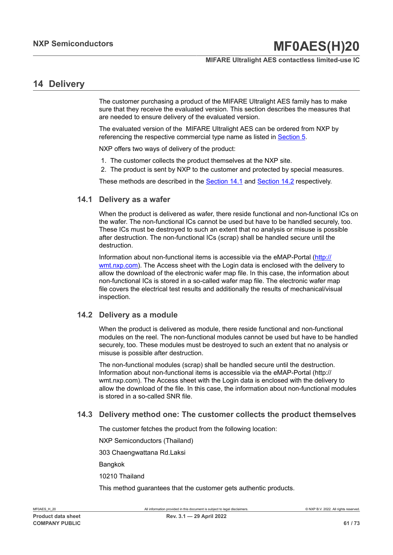### **MIFARE Ultralight AES contactless limited-use IC**

## **14 Delivery**

The customer purchasing a product of the MIFARE Ultralight AES family has to make sure that they receive the evaluated version. This section describes the measures that are needed to ensure delivery of the evaluated version.

The evaluated version of the MIFARE Ultralight AES can be ordered from NXP by referencing the respective commercial type name as listed in [Section 5.](#page-7-0)

NXP offers two ways of delivery of the product:

- 1. The customer collects the product themselves at the NXP site.
- 2. The product is sent by NXP to the customer and protected by special measures.

<span id="page-60-0"></span>These methods are described in the [Section 14.1](#page-60-0) and [Section 14.2](#page-60-1) respectively.

### **14.1 Delivery as a wafer**

When the product is delivered as wafer, there reside functional and non-functional ICs on the wafer. The non-functional ICs cannot be used but have to be handled securely, too. These ICs must be destroyed to such an extent that no analysis or misuse is possible after destruction. The non-functional ICs (scrap) shall be handled secure until the destruction.

Information about non-functional items is accessible via the eMAP-Portal [\(http://](http://wmt.nxp.com) [wmt.nxp.com\)](http://wmt.nxp.com). The Access sheet with the Login data is enclosed with the delivery to allow the download of the electronic wafer map file. In this case, the information about non-functional ICs is stored in a so-called wafer map file. The electronic wafer map file covers the electrical test results and additionally the results of mechanical/visual inspection.

### **14.2 Delivery as a module**

<span id="page-60-1"></span>When the product is delivered as module, there reside functional and non-functional modules on the reel. The non-functional modules cannot be used but have to be handled securely, too. These modules must be destroyed to such an extent that no analysis or misuse is possible after destruction.

The non-functional modules (scrap) shall be handled secure until the destruction. Information about non-functional items is accessible via the eMAP-Portal (http:// wmt.nxp.com). The Access sheet with the Login data is enclosed with the delivery to allow the download of the file. In this case, the information about non-functional modules is stored in a so-called SNR file.

### **14.3 Delivery method one: The customer collects the product themselves**

The customer fetches the product from the following location:

NXP Semiconductors (Thailand)

303 Chaengwattana Rd.Laksi

Bangkok

10210 Thailand

This method guarantees that the customer gets authentic products.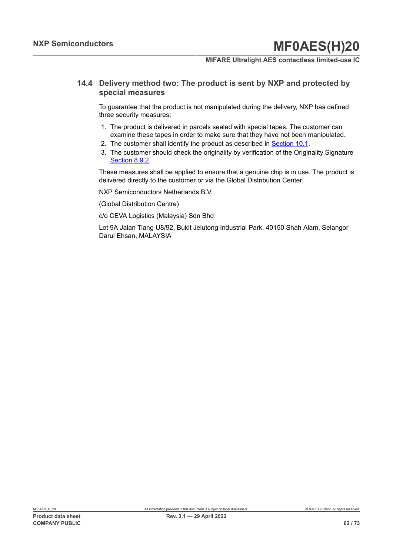#### **MIFARE Ultralight AES contactless limited-use IC**

### **14.4 Delivery method two: The product is sent by NXP and protected by special measures**

To guarantee that the product is not manipulated during the delivery, NXP has defined three security measures:

- 1. The product is delivered in parcels sealed with special tapes. The customer can examine these tapes in order to make sure that they have not been manipulated.
- 2. The customer shall identify the product as described in [Section 10.1](#page-34-0).
- 3. The customer should check the originality by verification of the Originality Signature [Section 8.9.2](#page-30-1).

These measures shall be applied to ensure that a genuine chip is in use. The product is delivered directly to the customer or via the Global Distribution Center:

NXP Semiconductors Netherlands B.V.

(Global Distribution Centre)

c/o CEVA Logistics (Malaysia) Sdn Bhd

Lot 9A Jalan Tiang U8/92, Bukit Jelutong Industrial Park, 40150 Shah Alam, Selangor Darul Ehsan, MALAYSIA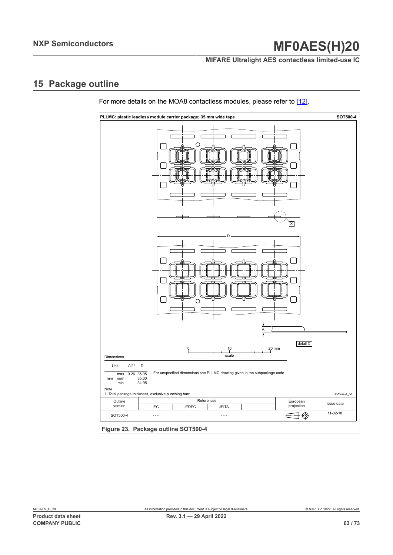**MIFARE Ultralight AES contactless limited-use IC**

# **15 Package outline**

<span id="page-62-0"></span>

For more details on the MOA8 contactless modules, please refer to [\[12\]](#page-65-3).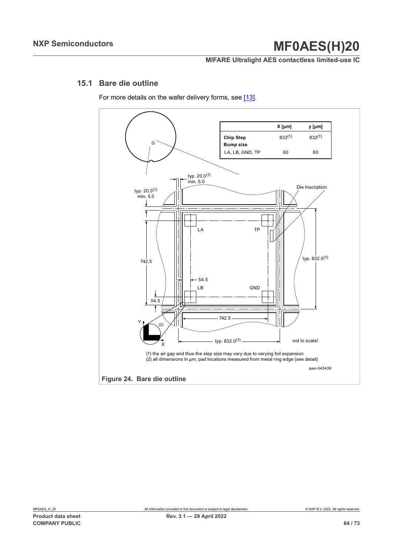### **MIFARE Ultralight AES contactless limited-use IC**

### **15.1 Bare die outline**

For more details on the wafer delivery forms, see [\[13\]](#page-65-4).

<span id="page-63-0"></span>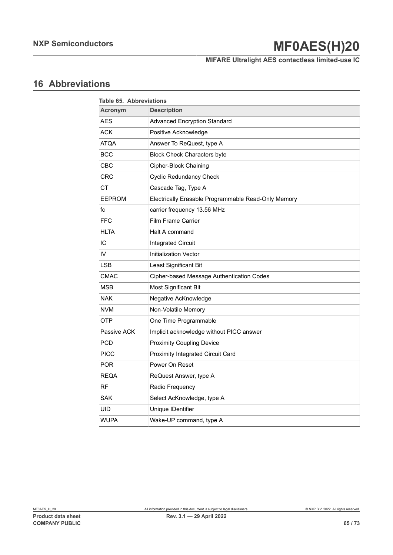# **MIFARE Ultralight AES contactless limited-use IC**

# **16 Abbreviations**

<span id="page-64-0"></span>

| Table 65. Abbreviations |                                                     |  |  |
|-------------------------|-----------------------------------------------------|--|--|
| Acronym                 | <b>Description</b>                                  |  |  |
| AES                     | <b>Advanced Encryption Standard</b>                 |  |  |
| <b>ACK</b>              | Positive Acknowledge                                |  |  |
| <b>ATQA</b>             | Answer To ReQuest, type A                           |  |  |
| <b>BCC</b>              | <b>Block Check Characters byte</b>                  |  |  |
| CBC                     | Cipher-Block Chaining                               |  |  |
| <b>CRC</b>              | <b>Cyclic Redundancy Check</b>                      |  |  |
| <b>CT</b>               | Cascade Tag, Type A                                 |  |  |
| <b>EEPROM</b>           | Electrically Erasable Programmable Read-Only Memory |  |  |
| fc                      | carrier frequency 13.56 MHz                         |  |  |
| <b>FFC</b>              | <b>Film Frame Carrier</b>                           |  |  |
| <b>HLTA</b>             | Halt A command                                      |  |  |
| IC                      | Integrated Circuit                                  |  |  |
| IV                      | Initialization Vector                               |  |  |
| LSB                     | Least Significant Bit                               |  |  |
| <b>CMAC</b>             | Cipher-based Message Authentication Codes           |  |  |
| <b>MSB</b>              | <b>Most Significant Bit</b>                         |  |  |
| <b>NAK</b>              | Negative AcKnowledge                                |  |  |
| <b>NVM</b>              | Non-Volatile Memory                                 |  |  |
| <b>OTP</b>              | One Time Programmable                               |  |  |
| Passive ACK             | Implicit acknowledge without PICC answer            |  |  |
| <b>PCD</b>              | <b>Proximity Coupling Device</b>                    |  |  |
| <b>PICC</b>             | Proximity Integrated Circuit Card                   |  |  |
| <b>POR</b>              | Power On Reset                                      |  |  |
| <b>REQA</b>             | ReQuest Answer, type A                              |  |  |
| <b>RF</b>               | Radio Frequency                                     |  |  |
| <b>SAK</b>              | Select AcKnowledge, type A                          |  |  |
| UID                     | Unique IDentifier                                   |  |  |
| <b>WUPA</b>             | Wake-UP command, type A                             |  |  |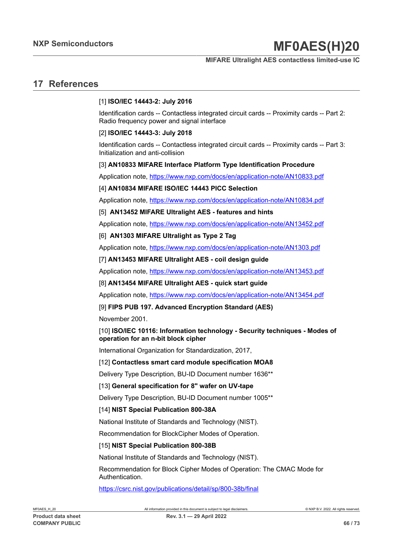#### **MIFARE Ultralight AES contactless limited-use IC**

## <span id="page-65-5"></span>**17 References**

#### <span id="page-65-2"></span>[1] **ISO/IEC 14443-2: July 2016**

Identification cards -- Contactless integrated circuit cards -- Proximity cards -- Part 2: Radio frequency power and signal interface

#### <span id="page-65-0"></span>[2] **ISO/IEC 14443-3: July 2018**

Identification cards -- Contactless integrated circuit cards -- Proximity cards -- Part 3: Initialization and anti-collision

#### [3] **AN10833 MIFARE Interface Platform Type Identification Procedure**

Application note, <https://www.nxp.com/docs/en/application-note/AN10833.pdf>

#### [4] **AN10834 MIFARE ISO/IEC 14443 PICC Selection**

Application note, <https://www.nxp.com/docs/en/application-note/AN10834.pdf>

#### <span id="page-65-1"></span>[5] **AN13452 MIFARE Ultralight AES - features and hints**

Application note, <https://www.nxp.com/docs/en/application-note/AN13452.pdf>

### [6] **AN1303 MIFARE Ultralight as Type 2 Tag**

Application note, <https://www.nxp.com/docs/en/application-note/AN1303.pdf>

#### [7] **AN13453 MIFARE Ultralight AES - coil design guide**

Application note, <https://www.nxp.com/docs/en/application-note/AN13453.pdf>

#### [8] **AN13454 MIFARE Ultralight AES - quick start guide**

Application note, <https://www.nxp.com/docs/en/application-note/AN13454.pdf>

#### [9] **FIPS PUB 197. Advanced Encryption Standard (AES)**

November 2001.

#### [10] **ISO/IEC 10116: Information technology - Security techniques - Modes of operation for an n-bit block cipher**

International Organization for Standardization, 2017,

#### <span id="page-65-3"></span>[12] **Contactless smart card module specification MOA8**

Delivery Type Description, BU-ID Document number 1636\*\*

#### <span id="page-65-4"></span>[13] **General specification for 8" wafer on UV-tape**

Delivery Type Description, BU-ID Document number 1005\*\*

#### [14] **NIST Special Publication 800-38A**

National Institute of Standards and Technology (NIST).

Recommendation for BlockCipher Modes of Operation.

#### [15] **NIST Special Publication 800-38B**

National Institute of Standards and Technology (NIST).

Recommendation for Block Cipher Modes of Operation: The CMAC Mode for Authentication.

<https://csrc.nist.gov/publications/detail/sp/800-38b/final>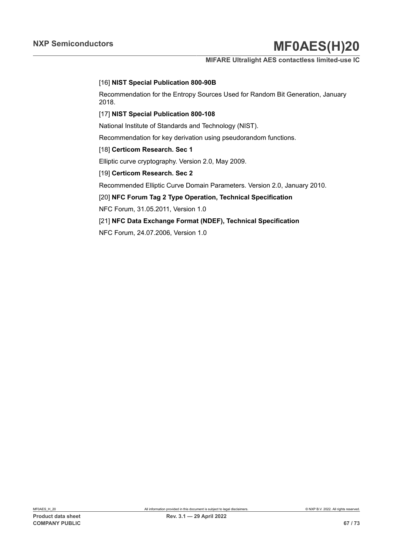#### **MIFARE Ultralight AES contactless limited-use IC**

#### [16] **NIST Special Publication 800-90B**

Recommendation for the Entropy Sources Used for Random Bit Generation, January 2018.

#### [17] **NIST Special Publication 800-108**

National Institute of Standards and Technology (NIST).

Recommendation for key derivation using pseudorandom functions.

#### [18] **Certicom Research. Sec 1**

Elliptic curve cryptography. Version 2.0, May 2009.

#### [19] **Certicom Research. Sec 2**

Recommended Elliptic Curve Domain Parameters. Version 2.0, January 2010.

#### [20] **NFC Forum Tag 2 Type Operation, Technical Specification**

NFC Forum, 31.05.2011, Version 1.0

#### [21] **NFC Data Exchange Format (NDEF), Technical Specification**

NFC Forum, 24.07.2006, Version 1.0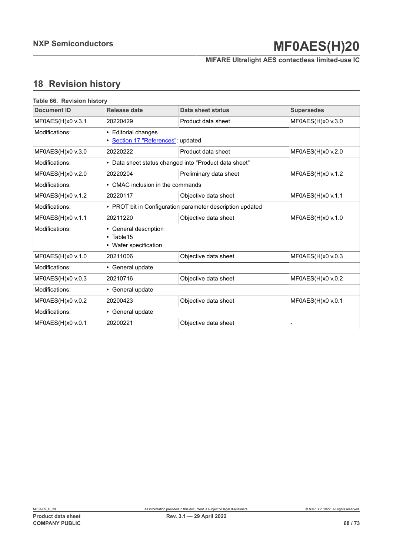**MIFARE Ultralight AES contactless limited-use IC**

# **18 Revision history**

<span id="page-67-0"></span>

| Table 66. Revision history<br><b>Document ID</b> | Release date                                                       | Data sheet status                                         | <b>Supersedes</b> |  |
|--------------------------------------------------|--------------------------------------------------------------------|-----------------------------------------------------------|-------------------|--|
| MF0AES(H)x0 v.3.1                                | 20220429                                                           | Product data sheet                                        | MF0AES(H)x0 v.3.0 |  |
| Modifications:                                   | • Editorial changes<br>· Section 17 "References": updated          |                                                           |                   |  |
| MF0AES(H)x0 v.3.0                                | 20220222                                                           | Product data sheet                                        | MF0AES(H)x0 v.2.0 |  |
| Modifications:                                   |                                                                    | • Data sheet status changed into "Product data sheet"     |                   |  |
| MF0AES(H)x0 v.2.0                                | 20220204                                                           | Preliminary data sheet                                    | MF0AES(H)x0 v.1.2 |  |
| Modifications:                                   |                                                                    | • CMAC inclusion in the commands                          |                   |  |
| MF0AES(H)x0 v.1.2                                | 20220117                                                           | Objective data sheet                                      | MF0AES(H)x0 v.1.1 |  |
| Modifications:                                   |                                                                    | • PROT bit in Configuration parameter description updated |                   |  |
| MF0AES(H)x0 v.1.1                                | 20211220                                                           | Objective data sheet                                      | MF0AES(H)x0 v.1.0 |  |
| Modifications:                                   | • General description<br>$\cdot$ Table 15<br>• Wafer specification |                                                           |                   |  |
| MF0AES(H)x0 v.1.0                                | 20211006                                                           | Objective data sheet                                      | MF0AES(H)x0 v.0.3 |  |
| Modifications:                                   | • General update                                                   |                                                           |                   |  |
| MF0AES(H)x0 v.0.3                                | 20210716                                                           | Objective data sheet                                      | MF0AES(H)x0 v.0.2 |  |
| Modifications:                                   | • General update                                                   |                                                           |                   |  |
| MF0AES(H)x0 v.0.2                                | 20200423                                                           | Objective data sheet                                      | MF0AES(H)x0 v.0.1 |  |
| Modifications:                                   | • General update                                                   |                                                           |                   |  |
| MF0AES(H)x0 v.0.1                                | 20200221                                                           | Objective data sheet                                      |                   |  |
|                                                  |                                                                    |                                                           |                   |  |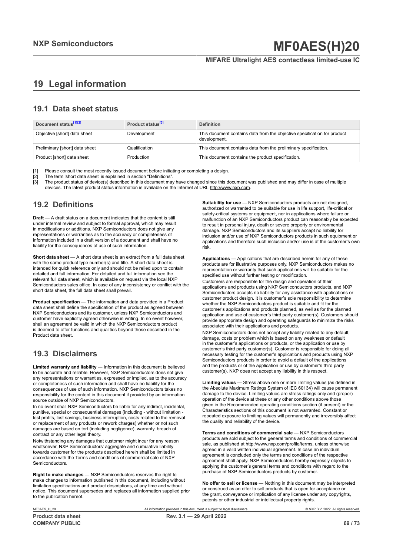### **MIFARE Ultralight AES contactless limited-use IC**

# <span id="page-68-0"></span>**19 Legal information**

### **19.1 Data sheet status**

| Document status <sup>[1][2]</sup> | Product status <sup>[3]</sup> | <b>Definition</b>                                                                        |
|-----------------------------------|-------------------------------|------------------------------------------------------------------------------------------|
| Objective [short] data sheet      | Development                   | This document contains data from the objective specification for product<br>development. |
| Preliminary [short] data sheet    | Qualification                 | This document contains data from the preliminary specification.                          |
| Product [short] data sheet        | Production                    | This document contains the product specification.                                        |

[1] Please consult the most recently issued document before initiating or completing a design.<br>[2] The term 'short data sheet' is explained in section "Definitions".

[2] The term 'short data sheet' is explained in section "Definitions".<br>[2] The term 'short data sheet' is explained in section "Definitions".

[3] The product status of device(s) described in this document may have changed since this document was published and may differ in case of multiple devices. The latest product status information is available on the Internet at URL http://www.nxp.com.

## **19.2 Definitions**

**Draft** — A draft status on a document indicates that the content is still under internal review and subject to formal approval, which may result in modifications or additions. NXP Semiconductors does not give any representations or warranties as to the accuracy or completeness of information included in a draft version of a document and shall have no liability for the consequences of use of such information.

**Short data sheet** — A short data sheet is an extract from a full data sheet with the same product type number(s) and title. A short data sheet is intended for quick reference only and should not be relied upon to contain detailed and full information. For detailed and full information see the relevant full data sheet, which is available on request via the local NXP Semiconductors sales office. In case of any inconsistency or conflict with the short data sheet, the full data sheet shall prevail.

**Product specification** — The information and data provided in a Product data sheet shall define the specification of the product as agreed between NXP Semiconductors and its customer, unless NXP Semiconductors and customer have explicitly agreed otherwise in writing. In no event however, shall an agreement be valid in which the NXP Semiconductors product is deemed to offer functions and qualities beyond those described in the Product data sheet.

## **19.3 Disclaimers**

**Limited warranty and liability** — Information in this document is believed to be accurate and reliable. However, NXP Semiconductors does not give any representations or warranties, expressed or implied, as to the accuracy or completeness of such information and shall have no liability for the consequences of use of such information. NXP Semiconductors takes no responsibility for the content in this document if provided by an information source outside of NXP Semiconductors.

In no event shall NXP Semiconductors be liable for any indirect, incidental, punitive, special or consequential damages (including - without limitation lost profits, lost savings, business interruption, costs related to the removal or replacement of any products or rework charges) whether or not such damages are based on tort (including negligence), warranty, breach of contract or any other legal theory.

Notwithstanding any damages that customer might incur for any reason whatsoever, NXP Semiconductors' aggregate and cumulative liability towards customer for the products described herein shall be limited in accordance with the Terms and conditions of commercial sale of NXP Semiconductors.

**Right to make changes** — NXP Semiconductors reserves the right to make changes to information published in this document, including without limitation specifications and product descriptions, at any time and without notice. This document supersedes and replaces all information supplied prior to the publication hereof.

**Suitability for use** — NXP Semiconductors products are not designed, authorized or warranted to be suitable for use in life support, life-critical or safety-critical systems or equipment, nor in applications where failure or malfunction of an NXP Semiconductors product can reasonably be expected to result in personal injury, death or severe property or environmental damage. NXP Semiconductors and its suppliers accept no liability for inclusion and/or use of NXP Semiconductors products in such equipment or applications and therefore such inclusion and/or use is at the customer's own risk.

**Applications** — Applications that are described herein for any of these products are for illustrative purposes only. NXP Semiconductors makes no representation or warranty that such applications will be suitable for the specified use without further testing or modification.

Customers are responsible for the design and operation of their applications and products using NXP Semiconductors products, and NXP Semiconductors accepts no liability for any assistance with applications or customer product design. It is customer's sole responsibility to determine whether the NXP Semiconductors product is suitable and fit for the customer's applications and products planned, as well as for the planned application and use of customer's third party customer(s). Customers should provide appropriate design and operating safeguards to minimize the risks associated with their applications and products.

NXP Semiconductors does not accept any liability related to any default, damage, costs or problem which is based on any weakness or default in the customer's applications or products, or the application or use by customer's third party customer(s). Customer is responsible for doing all necessary testing for the customer's applications and products using NXP Semiconductors products in order to avoid a default of the applications and the products or of the application or use by customer's third party customer(s). NXP does not accept any liability in this respect.

**Limiting values** — Stress above one or more limiting values (as defined in the Absolute Maximum Ratings System of IEC 60134) will cause permanent damage to the device. Limiting values are stress ratings only and (proper) operation of the device at these or any other conditions above those given in the Recommended operating conditions section (if present) or the Characteristics sections of this document is not warranted. Constant or repeated exposure to limiting values will permanently and irreversibly affect the quality and reliability of the device.

**Terms and conditions of commercial sale** — NXP Semiconductors products are sold subject to the general terms and conditions of commercial sale, as published at http://www.nxp.com/profile/terms, unless otherwise agreed in a valid written individual agreement. In case an individual agreement is concluded only the terms and conditions of the respective agreement shall apply. NXP Semiconductors hereby expressly objects to applying the customer's general terms and conditions with regard to the purchase of NXP Semiconductors products by customer.

**No offer to sell or license** — Nothing in this document may be interpreted or construed as an offer to sell products that is open for acceptance or the grant, conveyance or implication of any license under any copyrights, patents or other industrial or intellectual property rights.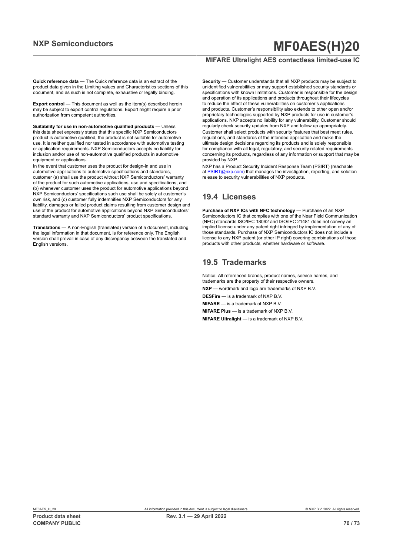#### **Quick reference data** — The Quick reference data is an extract of the product data given in the Limiting values and Characteristics sections of this document, and as such is not complete, exhaustive or legally binding.

**Export control** — This document as well as the item(s) described herein may be subject to export control regulations. Export might require a prior authorization from competent authorities.

**Suitability for use in non-automotive qualified products** — Unless this data sheet expressly states that this specific NXP Semiconductors product is automotive qualified, the product is not suitable for automotive use. It is neither qualified nor tested in accordance with automotive testing or application requirements. NXP Semiconductors accepts no liability for inclusion and/or use of non-automotive qualified products in automotive equipment or applications.

In the event that customer uses the product for design-in and use in automotive applications to automotive specifications and standards, customer (a) shall use the product without NXP Semiconductors' warranty of the product for such automotive applications, use and specifications, and (b) whenever customer uses the product for automotive applications beyond NXP Semiconductors' specifications such use shall be solely at customer's own risk, and (c) customer fully indemnifies NXP Semiconductors for any liability, damages or failed product claims resulting from customer design and use of the product for automotive applications beyond NXP Semiconductors' standard warranty and NXP Semiconductors' product specifications.

**Translations** — A non-English (translated) version of a document, including the legal information in that document, is for reference only. The English version shall prevail in case of any discrepancy between the translated and English versions.

### **MIFARE Ultralight AES contactless limited-use IC**

**Security** — Customer understands that all NXP products may be subject to unidentified vulnerabilities or may support established security standards or specifications with known limitations. Customer is responsible for the design and operation of its applications and products throughout their lifecycles to reduce the effect of these vulnerabilities on customer's applications and products. Customer's responsibility also extends to other open and/or proprietary technologies supported by NXP products for use in customer's applications. NXP accepts no liability for any vulnerability. Customer should regularly check security updates from NXP and follow up appropriately. Customer shall select products with security features that best meet rules, regulations, and standards of the intended application and make the ultimate design decisions regarding its products and is solely responsible for compliance with all legal, regulatory, and security related requirements concerning its products, regardless of any information or support that may be provided by NXP.

NXP has a Product Security Incident Response Team (PSIRT) (reachable at [PSIRT@nxp.com](mailto:PSIRT@nxp.com)) that manages the investigation, reporting, and solution release to security vulnerabilities of NXP products.

### **19.4 Licenses**

**Purchase of NXP ICs with NFC technology** — Purchase of an NXP Semiconductors IC that complies with one of the Near Field Communication (NFC) standards ISO/IEC 18092 and ISO/IEC 21481 does not convey an implied license under any patent right infringed by implementation of any of those standards. Purchase of NXP Semiconductors IC does not include a license to any NXP patent (or other IP right) covering combinations of those products with other products, whether hardware or software.

## **19.5 Trademarks**

Notice: All referenced brands, product names, service names, and trademarks are the property of their respective owners.

**NXP** — wordmark and logo are trademarks of NXP B.V.

**DESFire** — is a trademark of NXP B.V.

**MIFARE** — is a trademark of NXP B.V.

**MIFARE Plus** — is a trademark of NXP B.V.

**MIFARE Ultralight** — is a trademark of NXP B.V.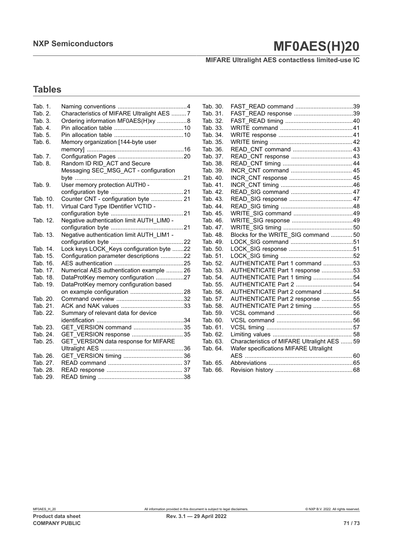**MIFARE Ultralight AES contactless limited-use IC**

# **Tables**

| Tab. 1.<br>Tab. 2.<br>Tab. 3. | Characteristics of MIFARE Ultralight AES 7<br>Ordering information MF0AES(H)xy 8 |  |
|-------------------------------|----------------------------------------------------------------------------------|--|
| Tab. 4.                       |                                                                                  |  |
| Tab. 5.                       |                                                                                  |  |
| Tab. 6.                       | Memory organization [144-byte user                                               |  |
|                               |                                                                                  |  |
| Tab. 7.                       |                                                                                  |  |
| Tab. 8.                       | Random ID RID_ACT and Secure                                                     |  |
|                               | Messaging SEC_MSG_ACT - configuration                                            |  |
|                               |                                                                                  |  |
| Tab. 9.                       | User memory protection AUTH0 -                                                   |  |
|                               |                                                                                  |  |
| Tab. 10.                      | Counter CNT - configuration byte  21                                             |  |
| Tab. 11.                      | Virtual Card Type IDentifier VCTID -                                             |  |
|                               |                                                                                  |  |
| Tab. 12.                      | Negative authentication limit AUTH_LIM0 -                                        |  |
|                               |                                                                                  |  |
| Tab. 13.                      | Negative authentication limit AUTH_LIM1 -                                        |  |
| Tab. 14.                      | Lock keys LOCK_Keys configuration byte 22                                        |  |
| Tab. 15.                      | Configuration parameter descriptions 22                                          |  |
| Tab. 16.                      |                                                                                  |  |
| Tab. 17.                      | Numerical AES authentication example  26                                         |  |
| Tab. 18.                      | DataProtKey memory configuration 27                                              |  |
| Tab. 19.                      | DataProtKey memory configuration based                                           |  |
|                               |                                                                                  |  |
| Tab. 20.                      |                                                                                  |  |
| Tab. 21.                      |                                                                                  |  |
| Tab. 22.                      | Summary of relevant data for device                                              |  |
|                               |                                                                                  |  |
| Tab. 23.                      |                                                                                  |  |
| Tab. 24.                      | GET VERSION response  35                                                         |  |
| Tab. 25.                      | GET VERSION data response for MIFARE                                             |  |
|                               |                                                                                  |  |
| Tab. 26.                      |                                                                                  |  |
| Tab. 27.                      |                                                                                  |  |
| Tab. 28.                      |                                                                                  |  |
| Tab. 29.                      |                                                                                  |  |

| Tab. 30. |                                              |  |
|----------|----------------------------------------------|--|
| Tab. 31. |                                              |  |
| Tab. 32. |                                              |  |
| Tab. 33. |                                              |  |
| Tab. 34. |                                              |  |
| Tab. 35. |                                              |  |
| Tab. 36. |                                              |  |
| Tab. 37. |                                              |  |
| Tab. 38. |                                              |  |
| Tab. 39. |                                              |  |
| Tab. 40. |                                              |  |
| Tab. 41. |                                              |  |
| Tab. 42. |                                              |  |
| Tab. 43. |                                              |  |
| Tab. 44. |                                              |  |
| Tab. 45. |                                              |  |
| Tab. 46. |                                              |  |
| Tab. 47. |                                              |  |
| Tab. 48. | Blocks for the WRITE_SIG command  50         |  |
| Tab. 49. |                                              |  |
| Tab. 50. |                                              |  |
| Tab. 51. |                                              |  |
| Tab. 52. | AUTHENTICATE Part 1 command 53               |  |
| Tab. 53. | AUTHENTICATE Part 1 response 53              |  |
| Tab. 54. | AUTHENTICATE Part 1 timing 54                |  |
| Tab. 55. | AUTHENTICATE Part 2  54                      |  |
| Tab. 56. | AUTHENTICATE Part 2 command 54               |  |
| Tab. 57. | AUTHENTICATE Part 2 response 55              |  |
| Tab. 58. | AUTHENTICATE Part 2 timing 55                |  |
| Tab. 59. |                                              |  |
| Tab. 60. |                                              |  |
| Tab. 61. |                                              |  |
| Tab. 62. |                                              |  |
| Tab. 63. | Characteristics of MIFARE Ultralight AES  59 |  |
| Tab. 64. | Wafer specifications MIFARE Ultralight       |  |
|          |                                              |  |
| Tab. 65. |                                              |  |
| Tab. 66. |                                              |  |
|          |                                              |  |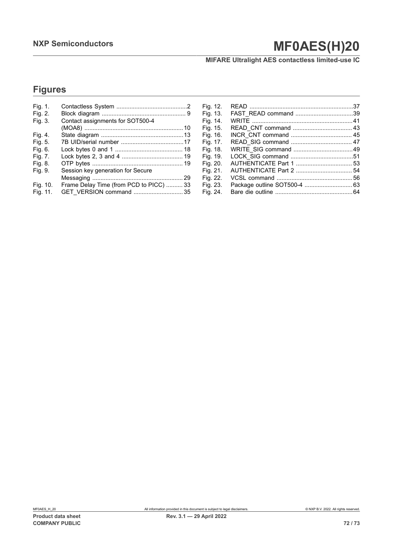**MIFARE Ultralight AES contactless limited-use IC**

# **Figures**

| Fig. 1.  |                                         |
|----------|-----------------------------------------|
| Fig. 2.  |                                         |
| Fig. 3.  | Contact assignments for SOT500-4        |
|          |                                         |
| Fig. 4.  |                                         |
| Fig. 5.  |                                         |
| Fig. 6.  |                                         |
| Fig. 7.  |                                         |
| Fig. 8.  |                                         |
| Fig. 9.  | Session key generation for Secure       |
|          |                                         |
| Fig. 10. | Frame Delay Time (from PCD to PICC)  33 |
| Fig. 11. | GET VERSION command  35                 |

| Fig. 12. |  |
|----------|--|
| Fig. 13. |  |
| Fig. 14. |  |
| Fig. 15. |  |
| Fig. 16. |  |
| Fig. 17. |  |
| Fig. 18. |  |
| Fig. 19. |  |
| Fig. 20. |  |
| Fig. 21. |  |
| Fig. 22. |  |
| Fig. 23. |  |
| Fig. 24. |  |
|          |  |